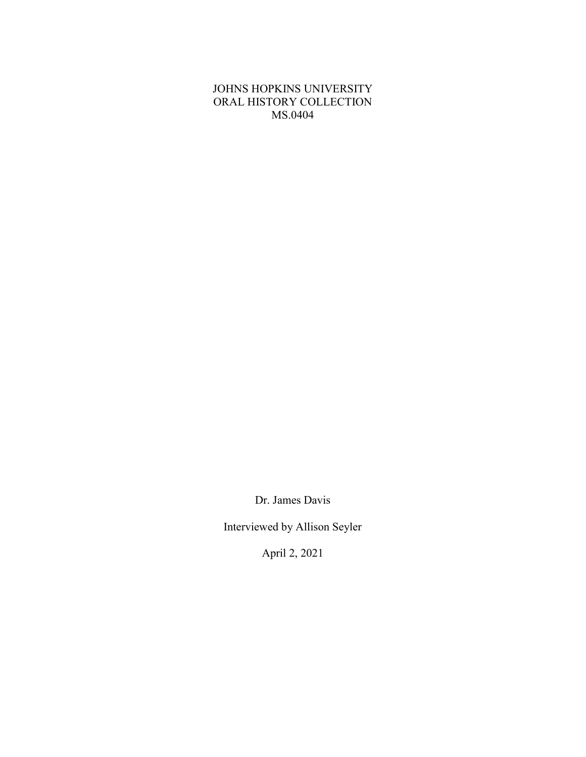# JOHNS HOPKINS UNIVERSITY ORAL HISTORY COLLECTION MS.0404

Dr. James Davis

Interviewed by Allison Seyler

April 2, 2021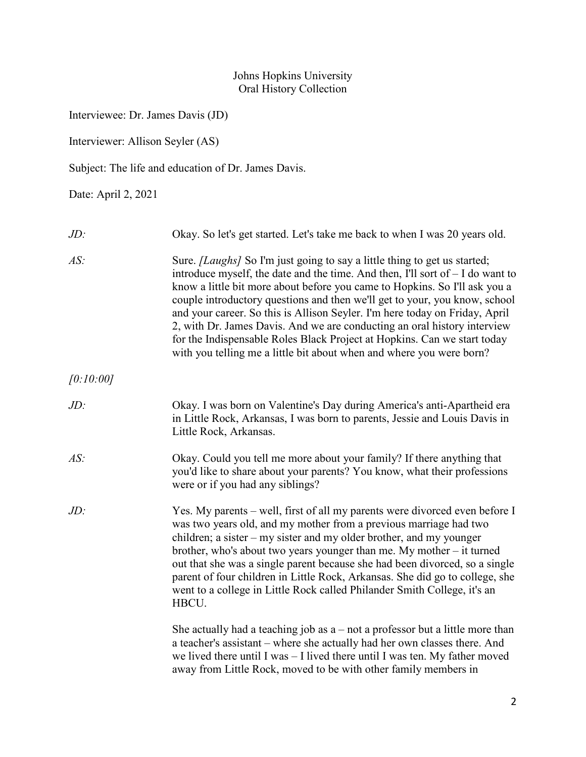# Johns Hopkins University Oral History Collection

Interviewee: Dr. James Davis (JD)

Interviewer: Allison Seyler (AS)

Subject: The life and education of Dr. James Davis.

Date: April 2, 2021

| $JD$ :    | Okay. So let's get started. Let's take me back to when I was 20 years old.                                                                                                                                                                                                                                                                                                                                                                                                                                                                                                                                                                      |
|-----------|-------------------------------------------------------------------------------------------------------------------------------------------------------------------------------------------------------------------------------------------------------------------------------------------------------------------------------------------------------------------------------------------------------------------------------------------------------------------------------------------------------------------------------------------------------------------------------------------------------------------------------------------------|
| AS:       | Sure. <i>[Laughs]</i> So I'm just going to say a little thing to get us started;<br>introduce myself, the date and the time. And then, I'll sort of $- I$ do want to<br>know a little bit more about before you came to Hopkins. So I'll ask you a<br>couple introductory questions and then we'll get to your, you know, school<br>and your career. So this is Allison Seyler. I'm here today on Friday, April<br>2, with Dr. James Davis. And we are conducting an oral history interview<br>for the Indispensable Roles Black Project at Hopkins. Can we start today<br>with you telling me a little bit about when and where you were born? |
| [0:10:00] |                                                                                                                                                                                                                                                                                                                                                                                                                                                                                                                                                                                                                                                 |
| $JD$ :    | Okay. I was born on Valentine's Day during America's anti-Apartheid era<br>in Little Rock, Arkansas, I was born to parents, Jessie and Louis Davis in<br>Little Rock, Arkansas.                                                                                                                                                                                                                                                                                                                                                                                                                                                                 |
| AS:       | Okay. Could you tell me more about your family? If there anything that<br>you'd like to share about your parents? You know, what their professions<br>were or if you had any siblings?                                                                                                                                                                                                                                                                                                                                                                                                                                                          |
| $JD$ :    | Yes. My parents – well, first of all my parents were divorced even before I<br>was two years old, and my mother from a previous marriage had two<br>children; a sister – my sister and my older brother, and my younger<br>brother, who's about two years younger than me. My mother $-$ it turned<br>out that she was a single parent because she had been divorced, so a single<br>parent of four children in Little Rock, Arkansas. She did go to college, she<br>went to a college in Little Rock called Philander Smith College, it's an<br>HBCU.                                                                                          |
|           | She actually had a teaching job as $a$ – not a professor but a little more than<br>a teacher's assistant - where she actually had her own classes there. And<br>we lived there until $I$ was $-I$ lived there until $I$ was ten. My father moved<br>away from Little Rock, moved to be with other family members in                                                                                                                                                                                                                                                                                                                             |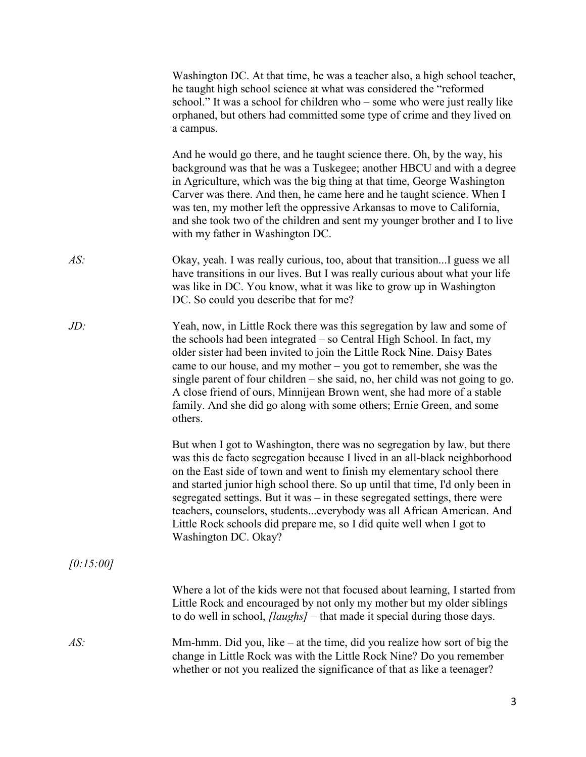|           | Washington DC. At that time, he was a teacher also, a high school teacher,<br>he taught high school science at what was considered the "reformed<br>school." It was a school for children who – some who were just really like<br>orphaned, but others had committed some type of crime and they lived on<br>a campus.                                                                                                                                                                                                                                                    |
|-----------|---------------------------------------------------------------------------------------------------------------------------------------------------------------------------------------------------------------------------------------------------------------------------------------------------------------------------------------------------------------------------------------------------------------------------------------------------------------------------------------------------------------------------------------------------------------------------|
|           | And he would go there, and he taught science there. Oh, by the way, his<br>background was that he was a Tuskegee; another HBCU and with a degree<br>in Agriculture, which was the big thing at that time, George Washington<br>Carver was there. And then, he came here and he taught science. When I<br>was ten, my mother left the oppressive Arkansas to move to California,<br>and she took two of the children and sent my younger brother and I to live<br>with my father in Washington DC.                                                                         |
| AS:       | Okay, yeah. I was really curious, too, about that transitionI guess we all<br>have transitions in our lives. But I was really curious about what your life<br>was like in DC. You know, what it was like to grow up in Washington<br>DC. So could you describe that for me?                                                                                                                                                                                                                                                                                               |
| $JD$ :    | Yeah, now, in Little Rock there was this segregation by law and some of<br>the schools had been integrated – so Central High School. In fact, my<br>older sister had been invited to join the Little Rock Nine. Daisy Bates<br>came to our house, and my mother – you got to remember, she was the<br>single parent of four children - she said, no, her child was not going to go.<br>A close friend of ours, Minnijean Brown went, she had more of a stable<br>family. And she did go along with some others; Ernie Green, and some<br>others.                          |
|           | But when I got to Washington, there was no segregation by law, but there<br>was this de facto segregation because I lived in an all-black neighborhood<br>on the East side of town and went to finish my elementary school there<br>and started junior high school there. So up until that time, I'd only been in<br>segregated settings. But it was - in these segregated settings, there were<br>teachers, counselors, studentseverybody was all African American. And<br>Little Rock schools did prepare me, so I did quite well when I got to<br>Washington DC. Okay? |
| [0:15:00] |                                                                                                                                                                                                                                                                                                                                                                                                                                                                                                                                                                           |
|           | Where a lot of the kids were not that focused about learning, I started from<br>Little Rock and encouraged by not only my mother but my older siblings<br>to do well in school, <i>[laughs]</i> – that made it special during those days.                                                                                                                                                                                                                                                                                                                                 |
| AS:       | Mm-hmm. Did you, like $-$ at the time, did you realize how sort of big the<br>change in Little Rock was with the Little Rock Nine? Do you remember<br>whether or not you realized the significance of that as like a teenager?                                                                                                                                                                                                                                                                                                                                            |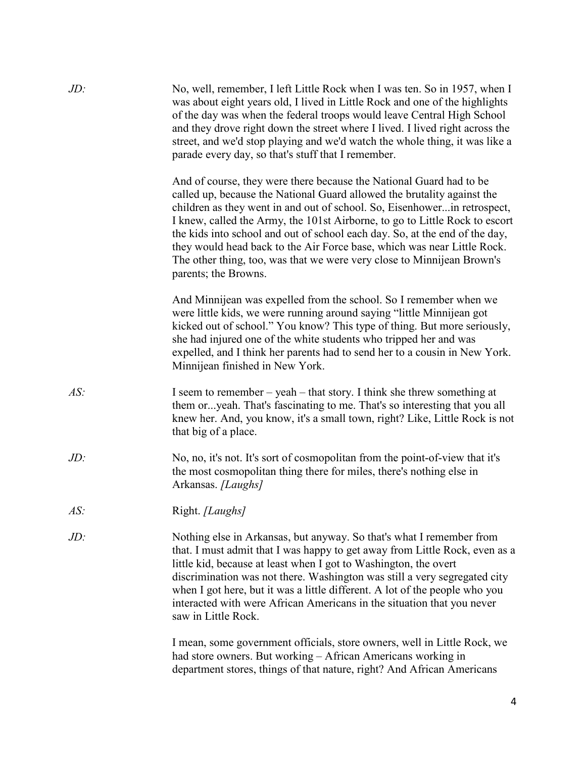| $JD$ : | No, well, remember, I left Little Rock when I was ten. So in 1957, when I<br>was about eight years old, I lived in Little Rock and one of the highlights<br>of the day was when the federal troops would leave Central High School<br>and they drove right down the street where I lived. I lived right across the<br>street, and we'd stop playing and we'd watch the whole thing, it was like a<br>parade every day, so that's stuff that I remember.                                                                                                               |
|--------|-----------------------------------------------------------------------------------------------------------------------------------------------------------------------------------------------------------------------------------------------------------------------------------------------------------------------------------------------------------------------------------------------------------------------------------------------------------------------------------------------------------------------------------------------------------------------|
|        | And of course, they were there because the National Guard had to be<br>called up, because the National Guard allowed the brutality against the<br>children as they went in and out of school. So, Eisenhowerin retrospect,<br>I knew, called the Army, the 101st Airborne, to go to Little Rock to escort<br>the kids into school and out of school each day. So, at the end of the day,<br>they would head back to the Air Force base, which was near Little Rock.<br>The other thing, too, was that we were very close to Minnijean Brown's<br>parents; the Browns. |
|        | And Minnijean was expelled from the school. So I remember when we<br>were little kids, we were running around saying "little Minnijean got<br>kicked out of school." You know? This type of thing. But more seriously,<br>she had injured one of the white students who tripped her and was<br>expelled, and I think her parents had to send her to a cousin in New York.<br>Minnijean finished in New York.                                                                                                                                                          |
| AS:    | I seem to remember $-$ yeah $-$ that story. I think she threw something at<br>them oryeah. That's fascinating to me. That's so interesting that you all<br>knew her. And, you know, it's a small town, right? Like, Little Rock is not<br>that big of a place.                                                                                                                                                                                                                                                                                                        |
| $JD$ : | No, no, it's not. It's sort of cosmopolitan from the point-of-view that it's<br>the most cosmopolitan thing there for miles, there's nothing else in<br>Arkansas. [Laughs]                                                                                                                                                                                                                                                                                                                                                                                            |
| AS:    | Right. [Laughs]                                                                                                                                                                                                                                                                                                                                                                                                                                                                                                                                                       |
| $JD$ : | Nothing else in Arkansas, but anyway. So that's what I remember from<br>that. I must admit that I was happy to get away from Little Rock, even as a<br>little kid, because at least when I got to Washington, the overt<br>discrimination was not there. Washington was still a very segregated city<br>when I got here, but it was a little different. A lot of the people who you<br>interacted with were African Americans in the situation that you never<br>saw in Little Rock.                                                                                  |
|        | I mean, some government officials, store owners, well in Little Rock, we<br>had store owners. But working - African Americans working in<br>department stores, things of that nature, right? And African Americans                                                                                                                                                                                                                                                                                                                                                    |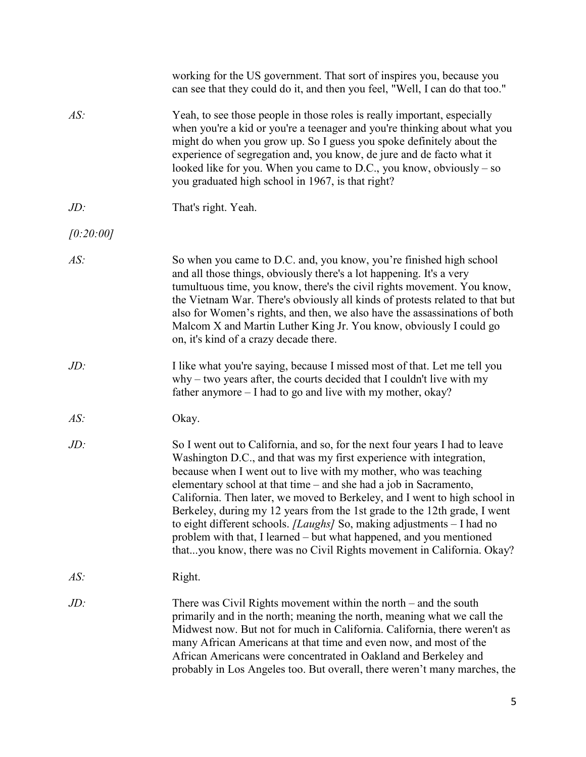|           | working for the US government. That sort of inspires you, because you<br>can see that they could do it, and then you feel, "Well, I can do that too."                                                                                                                                                                                                                                                                                                                                                                                                                                                                                                                                     |
|-----------|-------------------------------------------------------------------------------------------------------------------------------------------------------------------------------------------------------------------------------------------------------------------------------------------------------------------------------------------------------------------------------------------------------------------------------------------------------------------------------------------------------------------------------------------------------------------------------------------------------------------------------------------------------------------------------------------|
| AS:       | Yeah, to see those people in those roles is really important, especially<br>when you're a kid or you're a teenager and you're thinking about what you<br>might do when you grow up. So I guess you spoke definitely about the<br>experience of segregation and, you know, de jure and de facto what it<br>looked like for you. When you came to D.C., you know, obviously $-$ so<br>you graduated high school in 1967, is that right?                                                                                                                                                                                                                                                     |
| $JD$ :    | That's right. Yeah.                                                                                                                                                                                                                                                                                                                                                                                                                                                                                                                                                                                                                                                                       |
| [0:20:00] |                                                                                                                                                                                                                                                                                                                                                                                                                                                                                                                                                                                                                                                                                           |
| AS:       | So when you came to D.C. and, you know, you're finished high school<br>and all those things, obviously there's a lot happening. It's a very<br>tumultuous time, you know, there's the civil rights movement. You know,<br>the Vietnam War. There's obviously all kinds of protests related to that but<br>also for Women's rights, and then, we also have the assassinations of both<br>Malcom X and Martin Luther King Jr. You know, obviously I could go<br>on, it's kind of a crazy decade there.                                                                                                                                                                                      |
| $JD$ :    | I like what you're saying, because I missed most of that. Let me tell you<br>$why$ – two years after, the courts decided that I couldn't live with my<br>father anymore – I had to go and live with my mother, okay?                                                                                                                                                                                                                                                                                                                                                                                                                                                                      |
| AS:       | Okay.                                                                                                                                                                                                                                                                                                                                                                                                                                                                                                                                                                                                                                                                                     |
| $JD$ :    | So I went out to California, and so, for the next four years I had to leave<br>Washington D.C., and that was my first experience with integration,<br>because when I went out to live with my mother, who was teaching<br>elementary school at that time – and she had a job in Sacramento,<br>California. Then later, we moved to Berkeley, and I went to high school in<br>Berkeley, during my 12 years from the 1st grade to the 12th grade, I went<br>to eight different schools. <i>[Laughs]</i> So, making adjustments $-$ I had no<br>problem with that, I learned – but what happened, and you mentioned<br>thatyou know, there was no Civil Rights movement in California. Okay? |
| AS:       | Right.                                                                                                                                                                                                                                                                                                                                                                                                                                                                                                                                                                                                                                                                                    |
| $JD$ :    | There was Civil Rights movement within the north $-$ and the south<br>primarily and in the north; meaning the north, meaning what we call the<br>Midwest now. But not for much in California. California, there weren't as<br>many African Americans at that time and even now, and most of the<br>African Americans were concentrated in Oakland and Berkeley and<br>probably in Los Angeles too. But overall, there weren't many marches, the                                                                                                                                                                                                                                           |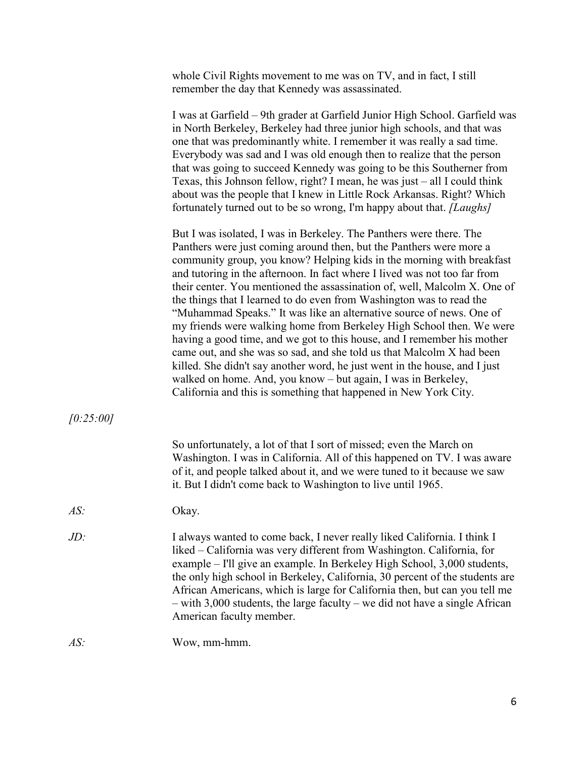whole Civil Rights movement to me was on TV, and in fact, I still remember the day that Kennedy was assassinated.

I was at Garfield – 9th grader at Garfield Junior High School. Garfield was in North Berkeley, Berkeley had three junior high schools, and that was one that was predominantly white. I remember it was really a sad time. Everybody was sad and I was old enough then to realize that the person that was going to succeed Kennedy was going to be this Southerner from Texas, this Johnson fellow, right? I mean, he was just – all I could think about was the people that I knew in Little Rock Arkansas. Right? Which fortunately turned out to be so wrong, I'm happy about that. *[Laughs]*

But I was isolated, I was in Berkeley. The Panthers were there. The Panthers were just coming around then, but the Panthers were more a community group, you know? Helping kids in the morning with breakfast and tutoring in the afternoon. In fact where I lived was not too far from their center. You mentioned the assassination of, well, Malcolm X. One of the things that I learned to do even from Washington was to read the "Muhammad Speaks." It was like an alternative source of news. One of my friends were walking home from Berkeley High School then. We were having a good time, and we got to this house, and I remember his mother came out, and she was so sad, and she told us that Malcolm X had been killed. She didn't say another word, he just went in the house, and I just walked on home. And, you know – but again, I was in Berkeley, California and this is something that happened in New York City.

*[0:25:00]* 

So unfortunately, a lot of that I sort of missed; even the March on Washington. I was in California. All of this happened on TV. I was aware of it, and people talked about it, and we were tuned to it because we saw it. But I didn't come back to Washington to live until 1965.

## *AS:* Okay.

*JD*: I always wanted to come back, I never really liked California. I think I liked – California was very different from Washington. California, for example – I'll give an example. In Berkeley High School, 3,000 students, the only high school in Berkeley, California, 30 percent of the students are African Americans, which is large for California then, but can you tell me – with 3,000 students, the large faculty – we did not have a single African American faculty member.

#### *AS:* Wow, mm-hmm.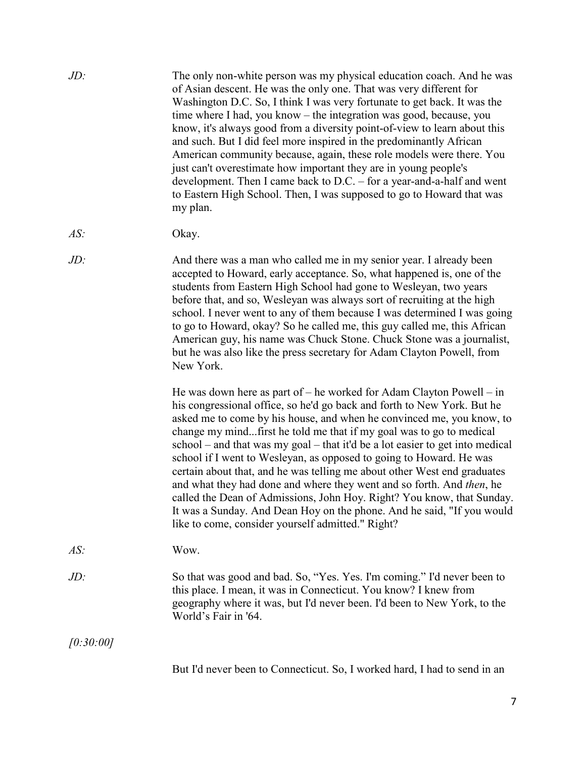| $JD$ :    | The only non-white person was my physical education coach. And he was<br>of Asian descent. He was the only one. That was very different for<br>Washington D.C. So, I think I was very fortunate to get back. It was the<br>time where I had, you know – the integration was good, because, you<br>know, it's always good from a diversity point-of-view to learn about this<br>and such. But I did feel more inspired in the predominantly African<br>American community because, again, these role models were there. You<br>just can't overestimate how important they are in young people's<br>development. Then I came back to D.C. – for a year-and-a-half and went<br>to Eastern High School. Then, I was supposed to go to Howard that was<br>my plan.                                                                                                                                                                |
|-----------|------------------------------------------------------------------------------------------------------------------------------------------------------------------------------------------------------------------------------------------------------------------------------------------------------------------------------------------------------------------------------------------------------------------------------------------------------------------------------------------------------------------------------------------------------------------------------------------------------------------------------------------------------------------------------------------------------------------------------------------------------------------------------------------------------------------------------------------------------------------------------------------------------------------------------|
| AS:       | Okay.                                                                                                                                                                                                                                                                                                                                                                                                                                                                                                                                                                                                                                                                                                                                                                                                                                                                                                                        |
| $JD$ :    | And there was a man who called me in my senior year. I already been<br>accepted to Howard, early acceptance. So, what happened is, one of the<br>students from Eastern High School had gone to Wesleyan, two years<br>before that, and so, Wesleyan was always sort of recruiting at the high<br>school. I never went to any of them because I was determined I was going<br>to go to Howard, okay? So he called me, this guy called me, this African<br>American guy, his name was Chuck Stone. Chuck Stone was a journalist,<br>but he was also like the press secretary for Adam Clayton Powell, from<br>New York.<br>He was down here as part of $-$ he worked for Adam Clayton Powell $-$ in<br>his congressional office, so he'd go back and forth to New York. But he<br>asked me to come by his house, and when he convinced me, you know, to<br>change my mindfirst he told me that if my goal was to go to medical |
|           | school – and that was my goal – that it'd be a lot easier to get into medical<br>school if I went to Wesleyan, as opposed to going to Howard. He was<br>certain about that, and he was telling me about other West end graduates<br>and what they had done and where they went and so forth. And then, he<br>called the Dean of Admissions, John Hoy. Right? You know, that Sunday.<br>It was a Sunday. And Dean Hoy on the phone. And he said, "If you would<br>like to come, consider yourself admitted." Right?                                                                                                                                                                                                                                                                                                                                                                                                           |
| AS:       | Wow.                                                                                                                                                                                                                                                                                                                                                                                                                                                                                                                                                                                                                                                                                                                                                                                                                                                                                                                         |
| $JD$ :    | So that was good and bad. So, "Yes. Yes. I'm coming." I'd never been to<br>this place. I mean, it was in Connecticut. You know? I knew from<br>geography where it was, but I'd never been. I'd been to New York, to the<br>World's Fair in '64.                                                                                                                                                                                                                                                                                                                                                                                                                                                                                                                                                                                                                                                                              |
| [0:30:00] |                                                                                                                                                                                                                                                                                                                                                                                                                                                                                                                                                                                                                                                                                                                                                                                                                                                                                                                              |
|           | But I'd never been to Connecticut. So, I worked hard, I had to send in an                                                                                                                                                                                                                                                                                                                                                                                                                                                                                                                                                                                                                                                                                                                                                                                                                                                    |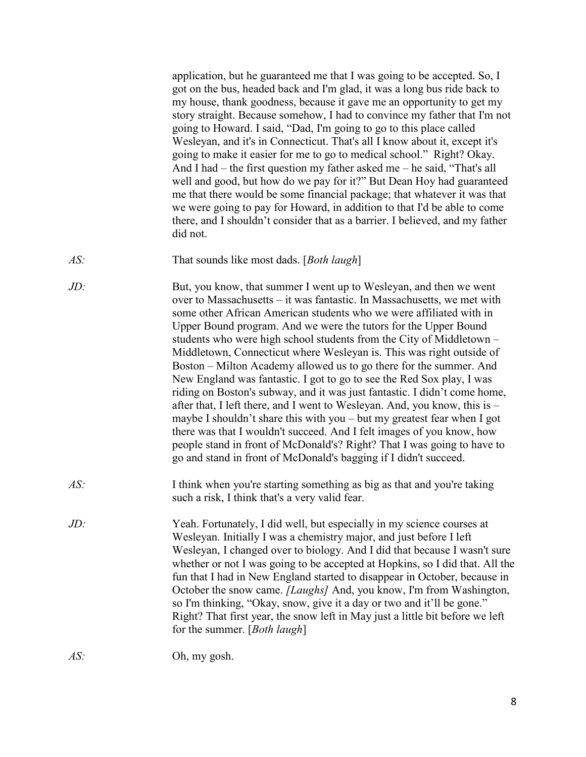application, but he guaranteed me that I was going to be accepted. So, I got on the bus, headed back and I'm glad, it was a long bus ride back to my house, thank goodness, because it gave me an opportunity to get my story straight. Because somehow, I had to convince my father that I'm not going to Howard. I said, "Dad, I'm going to go to this place called Wesleyan, and it's in Connecticut. That's all I know about it, except it's going to make it easier for me to go to medical school." Right? Okay. And I had – the first question my father asked me – he said, "That's all well and good, but how do we pay for it?" But Dean Hoy had guaranteed me that there would be some financial package; that whatever it was that we were going to pay for Howard, in addition to that I'd be able to come there, and I shouldn't consider that as a barrier. I believed, and my father did not.

## *AS:* That sounds like most dads. [*Both laugh*]

*JD*: But, you know, that summer I went up to Wesleyan, and then we went over to Massachusetts – it was fantastic. In Massachusetts, we met with some other African American students who we were affiliated with in Upper Bound program. And we were the tutors for the Upper Bound students who were high school students from the City of Middletown – Middletown, Connecticut where Wesleyan is. This was right outside of Boston – Milton Academy allowed us to go there for the summer. And New England was fantastic. I got to go to see the Red Sox play, I was riding on Boston's subway, and it was just fantastic. I didn't come home, after that, I left there, and I went to Wesleyan. And, you know, this is – maybe I shouldn't share this with you – but my greatest fear when I got there was that I wouldn't succeed. And I felt images of you know, how people stand in front of McDonald's? Right? That I was going to have to go and stand in front of McDonald's bagging if I didn't succeed.

- *AS*: I think when you're starting something as big as that and you're taking such a risk, I think that's a very valid fear.
- *JD*: Yeah. Fortunately, I did well, but especially in my science courses at Wesleyan. Initially I was a chemistry major, and just before I left Wesleyan, I changed over to biology. And I did that because I wasn't sure whether or not I was going to be accepted at Hopkins, so I did that. All the fun that I had in New England started to disappear in October, because in October the snow came. *[Laughs]* And, you know, I'm from Washington, so I'm thinking, "Okay, snow, give it a day or two and it'll be gone." Right? That first year, the snow left in May just a little bit before we left for the summer. [*Both laugh*]

## *AS:* Oh, my gosh.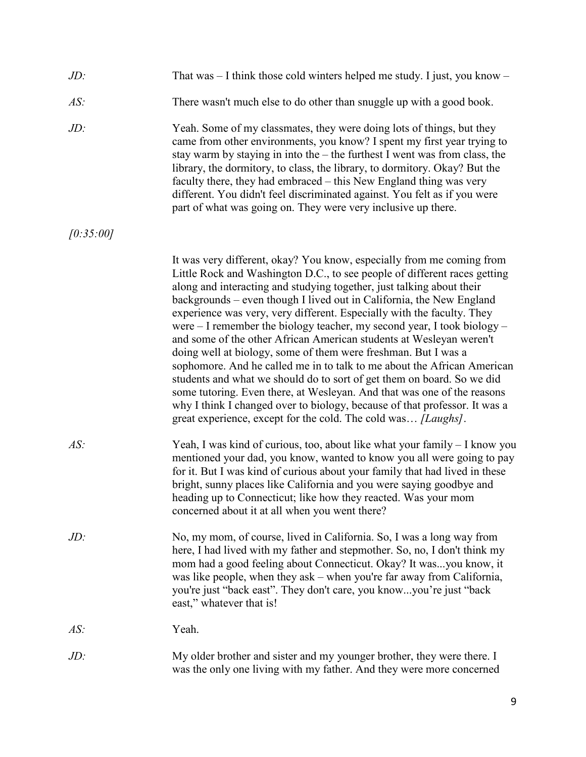| $JD$ :    | That was $-$ I think those cold winters helped me study. I just, you know $-$                                                                                                                                                                                                                                                                                                                                                                                                                                                                                                                                                                                                                                                                                                                                                                                                                                                                                                            |
|-----------|------------------------------------------------------------------------------------------------------------------------------------------------------------------------------------------------------------------------------------------------------------------------------------------------------------------------------------------------------------------------------------------------------------------------------------------------------------------------------------------------------------------------------------------------------------------------------------------------------------------------------------------------------------------------------------------------------------------------------------------------------------------------------------------------------------------------------------------------------------------------------------------------------------------------------------------------------------------------------------------|
| AS:       | There wasn't much else to do other than snuggle up with a good book.                                                                                                                                                                                                                                                                                                                                                                                                                                                                                                                                                                                                                                                                                                                                                                                                                                                                                                                     |
| $JD$ :    | Yeah. Some of my classmates, they were doing lots of things, but they<br>came from other environments, you know? I spent my first year trying to<br>stay warm by staying in into the $-$ the furthest I went was from class, the<br>library, the dormitory, to class, the library, to dormitory. Okay? But the<br>faculty there, they had embraced – this New England thing was very<br>different. You didn't feel discriminated against. You felt as if you were<br>part of what was going on. They were very inclusive up there.                                                                                                                                                                                                                                                                                                                                                                                                                                                       |
| [0:35:00] |                                                                                                                                                                                                                                                                                                                                                                                                                                                                                                                                                                                                                                                                                                                                                                                                                                                                                                                                                                                          |
|           | It was very different, okay? You know, especially from me coming from<br>Little Rock and Washington D.C., to see people of different races getting<br>along and interacting and studying together, just talking about their<br>backgrounds – even though I lived out in California, the New England<br>experience was very, very different. Especially with the faculty. They<br>were - I remember the biology teacher, my second year, I took biology -<br>and some of the other African American students at Wesleyan weren't<br>doing well at biology, some of them were freshman. But I was a<br>sophomore. And he called me in to talk to me about the African American<br>students and what we should do to sort of get them on board. So we did<br>some tutoring. Even there, at Wesleyan. And that was one of the reasons<br>why I think I changed over to biology, because of that professor. It was a<br>great experience, except for the cold. The cold was <i>[Laughs]</i> . |
| AS:       | Yeah, I was kind of curious, too, about like what your family - I know you<br>mentioned your dad, you know, wanted to know you all were going to pay<br>for it. But I was kind of curious about your family that had lived in these<br>bright, sunny places like California and you were saying goodbye and<br>heading up to Connecticut; like how they reacted. Was your mom<br>concerned about it at all when you went there?                                                                                                                                                                                                                                                                                                                                                                                                                                                                                                                                                          |
| $JD$ :    | No, my mom, of course, lived in California. So, I was a long way from<br>here, I had lived with my father and stepmother. So, no, I don't think my<br>mom had a good feeling about Connecticut. Okay? It wasyou know, it<br>was like people, when they $ask$ – when you're far away from California,<br>you're just "back east". They don't care, you knowyou're just "back<br>east," whatever that is!                                                                                                                                                                                                                                                                                                                                                                                                                                                                                                                                                                                  |
| AS:       | Yeah.                                                                                                                                                                                                                                                                                                                                                                                                                                                                                                                                                                                                                                                                                                                                                                                                                                                                                                                                                                                    |
| $JD$ :    | My older brother and sister and my younger brother, they were there. I<br>was the only one living with my father. And they were more concerned                                                                                                                                                                                                                                                                                                                                                                                                                                                                                                                                                                                                                                                                                                                                                                                                                                           |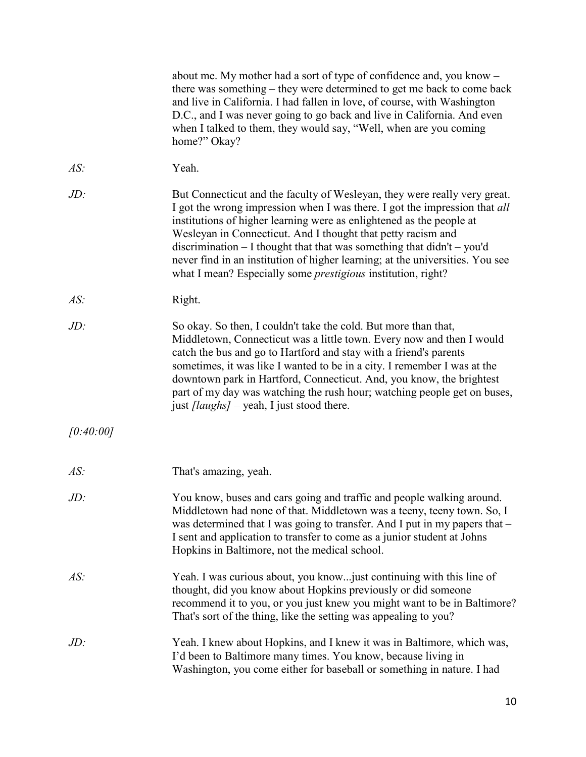|           | about me. My mother had a sort of type of confidence and, you know –<br>there was something - they were determined to get me back to come back<br>and live in California. I had fallen in love, of course, with Washington<br>D.C., and I was never going to go back and live in California. And even<br>when I talked to them, they would say, "Well, when are you coming<br>home?" Okay?                                                                                                                                              |
|-----------|-----------------------------------------------------------------------------------------------------------------------------------------------------------------------------------------------------------------------------------------------------------------------------------------------------------------------------------------------------------------------------------------------------------------------------------------------------------------------------------------------------------------------------------------|
| AS:       | Yeah.                                                                                                                                                                                                                                                                                                                                                                                                                                                                                                                                   |
| $JD$ :    | But Connecticut and the faculty of Wesleyan, they were really very great.<br>I got the wrong impression when I was there. I got the impression that all<br>institutions of higher learning were as enlightened as the people at<br>Wesleyan in Connecticut. And I thought that petty racism and<br>discrimination $-$ I thought that that was something that didn't $-$ you'd<br>never find in an institution of higher learning; at the universities. You see<br>what I mean? Especially some <i>prestigious</i> institution, right?   |
| AS:       | Right.                                                                                                                                                                                                                                                                                                                                                                                                                                                                                                                                  |
| $JD$ :    | So okay. So then, I couldn't take the cold. But more than that,<br>Middletown, Connecticut was a little town. Every now and then I would<br>catch the bus and go to Hartford and stay with a friend's parents<br>sometimes, it was like I wanted to be in a city. I remember I was at the<br>downtown park in Hartford, Connecticut. And, you know, the brightest<br>part of my day was watching the rush hour; watching people get on buses,<br>just $\left\{ \frac{la h}{2} - \text{y} \cdot \text{y} \right\}$ . I just stood there. |
| [0:40:00] |                                                                                                                                                                                                                                                                                                                                                                                                                                                                                                                                         |
| AS:       | That's amazing, yeah.                                                                                                                                                                                                                                                                                                                                                                                                                                                                                                                   |
| $JD$ :    | You know, buses and cars going and traffic and people walking around.<br>Middletown had none of that. Middletown was a teeny, teeny town. So, I<br>was determined that I was going to transfer. And I put in my papers that –<br>I sent and application to transfer to come as a junior student at Johns<br>Hopkins in Baltimore, not the medical school.                                                                                                                                                                               |
| AS:       | Yeah. I was curious about, you know just continuing with this line of<br>thought, did you know about Hopkins previously or did someone<br>recommend it to you, or you just knew you might want to be in Baltimore?<br>That's sort of the thing, like the setting was appealing to you?                                                                                                                                                                                                                                                  |
| $JD$ :    | Yeah. I knew about Hopkins, and I knew it was in Baltimore, which was,<br>I'd been to Baltimore many times. You know, because living in<br>Washington, you come either for baseball or something in nature. I had                                                                                                                                                                                                                                                                                                                       |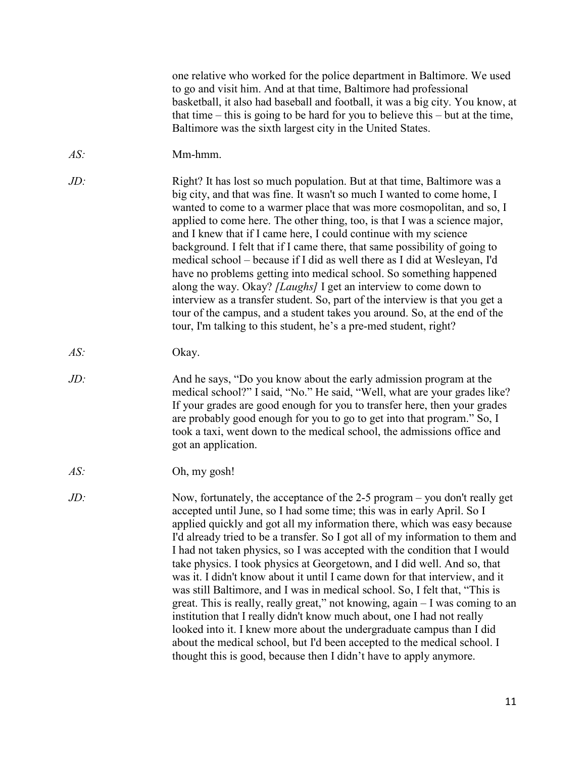one relative who worked for the police department in Baltimore. We used to go and visit him. And at that time, Baltimore had professional basketball, it also had baseball and football, it was a big city. You know, at that time – this is going to be hard for you to believe this – but at the time, Baltimore was the sixth largest city in the United States.

- *AS:* Mm-hmm.
- *JD*: Right? It has lost so much population. But at that time, Baltimore was a big city, and that was fine. It wasn't so much I wanted to come home, I wanted to come to a warmer place that was more cosmopolitan, and so, I applied to come here. The other thing, too, is that I was a science major, and I knew that if I came here, I could continue with my science background. I felt that if I came there, that same possibility of going to medical school – because if I did as well there as I did at Wesleyan, I'd have no problems getting into medical school. So something happened along the way. Okay? *[Laughs]* I get an interview to come down to interview as a transfer student. So, part of the interview is that you get a tour of the campus, and a student takes you around. So, at the end of the tour, I'm talking to this student, he's a pre-med student, right?
- *AS:* Okay.
- *JD*: And he says, "Do you know about the early admission program at the medical school?" I said, "No." He said, "Well, what are your grades like? If your grades are good enough for you to transfer here, then your grades are probably good enough for you to go to get into that program." So, I took a taxi, went down to the medical school, the admissions office and got an application.
- *AS:* Oh, my gosh!

*JD*: Now, fortunately, the acceptance of the 2-5 program – you don't really get accepted until June, so I had some time; this was in early April. So I applied quickly and got all my information there, which was easy because I'd already tried to be a transfer. So I got all of my information to them and I had not taken physics, so I was accepted with the condition that I would take physics. I took physics at Georgetown, and I did well. And so, that was it. I didn't know about it until I came down for that interview, and it was still Baltimore, and I was in medical school. So, I felt that, "This is great. This is really, really great," not knowing, again – I was coming to an institution that I really didn't know much about, one I had not really looked into it. I knew more about the undergraduate campus than I did about the medical school, but I'd been accepted to the medical school. I thought this is good, because then I didn't have to apply anymore.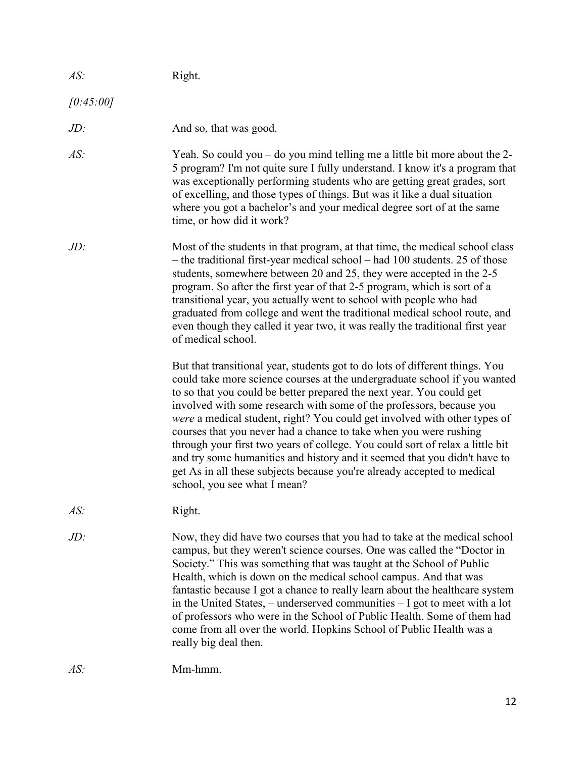| AS:       | Right.                                                                                                                                                                                                                                                                                                                                                                                                                                                                                                                                                                                                                                                                                                                               |
|-----------|--------------------------------------------------------------------------------------------------------------------------------------------------------------------------------------------------------------------------------------------------------------------------------------------------------------------------------------------------------------------------------------------------------------------------------------------------------------------------------------------------------------------------------------------------------------------------------------------------------------------------------------------------------------------------------------------------------------------------------------|
| [0:45:00] |                                                                                                                                                                                                                                                                                                                                                                                                                                                                                                                                                                                                                                                                                                                                      |
| $JD$ :    | And so, that was good.                                                                                                                                                                                                                                                                                                                                                                                                                                                                                                                                                                                                                                                                                                               |
| AS:       | Yeah. So could you – do you mind telling me a little bit more about the 2-<br>5 program? I'm not quite sure I fully understand. I know it's a program that<br>was exceptionally performing students who are getting great grades, sort<br>of excelling, and those types of things. But was it like a dual situation<br>where you got a bachelor's and your medical degree sort of at the same<br>time, or how did it work?                                                                                                                                                                                                                                                                                                           |
| $JD$ :    | Most of the students in that program, at that time, the medical school class<br>- the traditional first-year medical school - had 100 students. 25 of those<br>students, somewhere between 20 and 25, they were accepted in the 2-5<br>program. So after the first year of that 2-5 program, which is sort of a<br>transitional year, you actually went to school with people who had<br>graduated from college and went the traditional medical school route, and<br>even though they called it year two, it was really the traditional first year<br>of medical school.                                                                                                                                                            |
|           | But that transitional year, students got to do lots of different things. You<br>could take more science courses at the undergraduate school if you wanted<br>to so that you could be better prepared the next year. You could get<br>involved with some research with some of the professors, because you<br>were a medical student, right? You could get involved with other types of<br>courses that you never had a chance to take when you were rushing<br>through your first two years of college. You could sort of relax a little bit<br>and try some humanities and history and it seemed that you didn't have to<br>get As in all these subjects because you're already accepted to medical<br>school, you see what I mean? |
| AS:       | Right.                                                                                                                                                                                                                                                                                                                                                                                                                                                                                                                                                                                                                                                                                                                               |
| $JD$ :    | Now, they did have two courses that you had to take at the medical school<br>campus, but they weren't science courses. One was called the "Doctor in<br>Society." This was something that was taught at the School of Public<br>Health, which is down on the medical school campus. And that was<br>fantastic because I got a chance to really learn about the healthcare system<br>in the United States, – underserved communities $- I$ got to meet with a lot<br>of professors who were in the School of Public Health. Some of them had<br>come from all over the world. Hopkins School of Public Health was a<br>really big deal then.                                                                                          |
| AS:       | Mm-hmm.                                                                                                                                                                                                                                                                                                                                                                                                                                                                                                                                                                                                                                                                                                                              |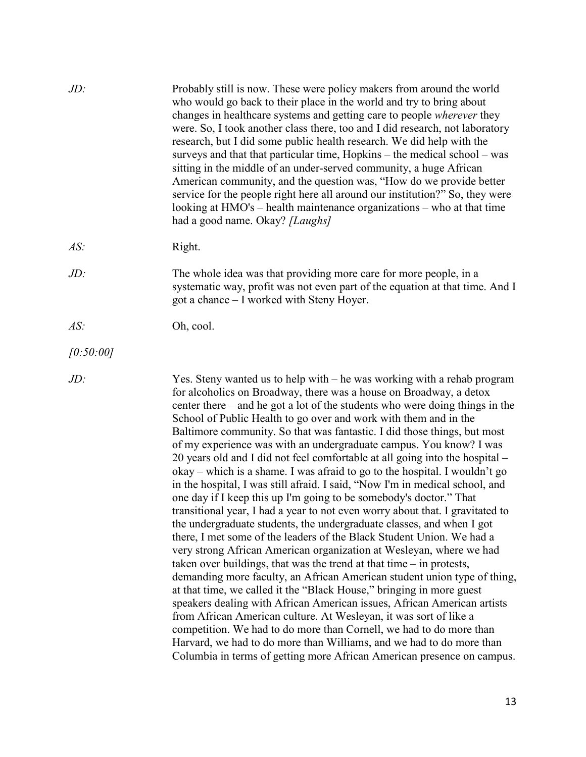| $JD$ :    | Probably still is now. These were policy makers from around the world<br>who would go back to their place in the world and try to bring about<br>changes in healthcare systems and getting care to people <i>wherever</i> they<br>were. So, I took another class there, too and I did research, not laboratory<br>research, but I did some public health research. We did help with the<br>surveys and that that particular time, $Hopkins$ – the medical school – was<br>sitting in the middle of an under-served community, a huge African<br>American community, and the question was, "How do we provide better<br>service for the people right here all around our institution?" So, they were<br>looking at HMO's – health maintenance organizations – who at that time<br>had a good name. Okay? [Laughs]                                                                                                                                                                                                                                                                                                                                                                                                                                                                                                                                                                                                                                                                                                                                                                                                                                                                         |
|-----------|------------------------------------------------------------------------------------------------------------------------------------------------------------------------------------------------------------------------------------------------------------------------------------------------------------------------------------------------------------------------------------------------------------------------------------------------------------------------------------------------------------------------------------------------------------------------------------------------------------------------------------------------------------------------------------------------------------------------------------------------------------------------------------------------------------------------------------------------------------------------------------------------------------------------------------------------------------------------------------------------------------------------------------------------------------------------------------------------------------------------------------------------------------------------------------------------------------------------------------------------------------------------------------------------------------------------------------------------------------------------------------------------------------------------------------------------------------------------------------------------------------------------------------------------------------------------------------------------------------------------------------------------------------------------------------------|
| AS:       | Right.                                                                                                                                                                                                                                                                                                                                                                                                                                                                                                                                                                                                                                                                                                                                                                                                                                                                                                                                                                                                                                                                                                                                                                                                                                                                                                                                                                                                                                                                                                                                                                                                                                                                                   |
| $JD$ :    | The whole idea was that providing more care for more people, in a<br>systematic way, profit was not even part of the equation at that time. And I<br>got a chance - I worked with Steny Hoyer.                                                                                                                                                                                                                                                                                                                                                                                                                                                                                                                                                                                                                                                                                                                                                                                                                                                                                                                                                                                                                                                                                                                                                                                                                                                                                                                                                                                                                                                                                           |
| AS:       | Oh, cool.                                                                                                                                                                                                                                                                                                                                                                                                                                                                                                                                                                                                                                                                                                                                                                                                                                                                                                                                                                                                                                                                                                                                                                                                                                                                                                                                                                                                                                                                                                                                                                                                                                                                                |
| [0:50:00] |                                                                                                                                                                                                                                                                                                                                                                                                                                                                                                                                                                                                                                                                                                                                                                                                                                                                                                                                                                                                                                                                                                                                                                                                                                                                                                                                                                                                                                                                                                                                                                                                                                                                                          |
| $JD$ :    | Yes. Steny wanted us to help with – he was working with a rehab program<br>for alcoholics on Broadway, there was a house on Broadway, a detox<br>center there – and he got a lot of the students who were doing things in the<br>School of Public Health to go over and work with them and in the<br>Baltimore community. So that was fantastic. I did those things, but most<br>of my experience was with an undergraduate campus. You know? I was<br>20 years old and I did not feel comfortable at all going into the hospital –<br>okay – which is a shame. I was afraid to go to the hospital. I wouldn't go<br>in the hospital, I was still afraid. I said, "Now I'm in medical school, and<br>one day if I keep this up I'm going to be somebody's doctor." That<br>transitional year, I had a year to not even worry about that. I gravitated to<br>the undergraduate students, the undergraduate classes, and when I got<br>there, I met some of the leaders of the Black Student Union. We had a<br>very strong African American organization at Wesleyan, where we had<br>taken over buildings, that was the trend at that time $-$ in protests,<br>demanding more faculty, an African American student union type of thing,<br>at that time, we called it the "Black House," bringing in more guest<br>speakers dealing with African American issues, African American artists<br>from African American culture. At Wesleyan, it was sort of like a<br>competition. We had to do more than Cornell, we had to do more than<br>Harvard, we had to do more than Williams, and we had to do more than<br>Columbia in terms of getting more African American presence on campus. |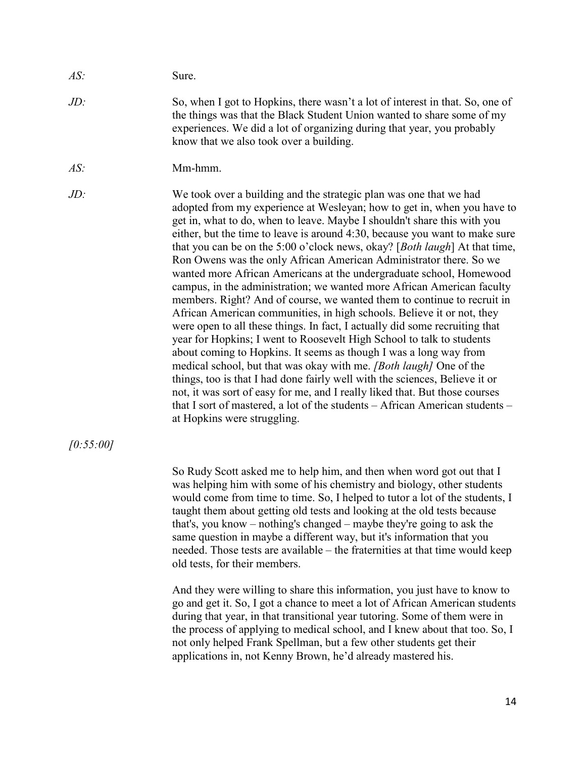| AS:       | Sure.                                                                                                                                                                                                                                                                                                                                                                                                                                                                                                                                                                                                                                                                                                                                                                                                                                                                                                                                                                                                                                                                                                                                                                                                                                                                                                                                              |
|-----------|----------------------------------------------------------------------------------------------------------------------------------------------------------------------------------------------------------------------------------------------------------------------------------------------------------------------------------------------------------------------------------------------------------------------------------------------------------------------------------------------------------------------------------------------------------------------------------------------------------------------------------------------------------------------------------------------------------------------------------------------------------------------------------------------------------------------------------------------------------------------------------------------------------------------------------------------------------------------------------------------------------------------------------------------------------------------------------------------------------------------------------------------------------------------------------------------------------------------------------------------------------------------------------------------------------------------------------------------------|
| $JD$ :    | So, when I got to Hopkins, there wasn't a lot of interest in that. So, one of<br>the things was that the Black Student Union wanted to share some of my<br>experiences. We did a lot of organizing during that year, you probably<br>know that we also took over a building.                                                                                                                                                                                                                                                                                                                                                                                                                                                                                                                                                                                                                                                                                                                                                                                                                                                                                                                                                                                                                                                                       |
| AS:       | Mm-hmm.                                                                                                                                                                                                                                                                                                                                                                                                                                                                                                                                                                                                                                                                                                                                                                                                                                                                                                                                                                                                                                                                                                                                                                                                                                                                                                                                            |
| $JD$ :    | We took over a building and the strategic plan was one that we had<br>adopted from my experience at Wesleyan; how to get in, when you have to<br>get in, what to do, when to leave. Maybe I shouldn't share this with you<br>either, but the time to leave is around 4:30, because you want to make sure<br>that you can be on the 5:00 o'clock news, okay? [Both laugh] At that time,<br>Ron Owens was the only African American Administrator there. So we<br>wanted more African Americans at the undergraduate school, Homewood<br>campus, in the administration; we wanted more African American faculty<br>members. Right? And of course, we wanted them to continue to recruit in<br>African American communities, in high schools. Believe it or not, they<br>were open to all these things. In fact, I actually did some recruiting that<br>year for Hopkins; I went to Roosevelt High School to talk to students<br>about coming to Hopkins. It seems as though I was a long way from<br>medical school, but that was okay with me. [Both laugh] One of the<br>things, too is that I had done fairly well with the sciences, Believe it or<br>not, it was sort of easy for me, and I really liked that. But those courses<br>that I sort of mastered, a lot of the students - African American students -<br>at Hopkins were struggling. |
| [0:55:00] |                                                                                                                                                                                                                                                                                                                                                                                                                                                                                                                                                                                                                                                                                                                                                                                                                                                                                                                                                                                                                                                                                                                                                                                                                                                                                                                                                    |
|           | So Rudy Scott asked me to help him, and then when word got out that I<br>was helping him with some of his chemistry and biology, other students<br>would come from time to time. So, I helped to tutor a lot of the students, I<br>taught them about getting old tests and looking at the old tests because<br>that's, you know – nothing's changed – maybe they're going to ask the<br>same question in maybe a different way, but it's information that you<br>needed. Those tests are available – the fraternities at that time would keep<br>old tests, for their members.                                                                                                                                                                                                                                                                                                                                                                                                                                                                                                                                                                                                                                                                                                                                                                     |
|           | And they were willing to share this information, you just have to know to<br>go and get it. So, I got a chance to meet a lot of African American students<br>during that year, in that transitional year tutoring. Some of them were in<br>the process of applying to medical school, and I knew about that too. So, I<br>not only helped Frank Spellman, but a few other students get their                                                                                                                                                                                                                                                                                                                                                                                                                                                                                                                                                                                                                                                                                                                                                                                                                                                                                                                                                       |

applications in, not Kenny Brown, he'd already mastered his.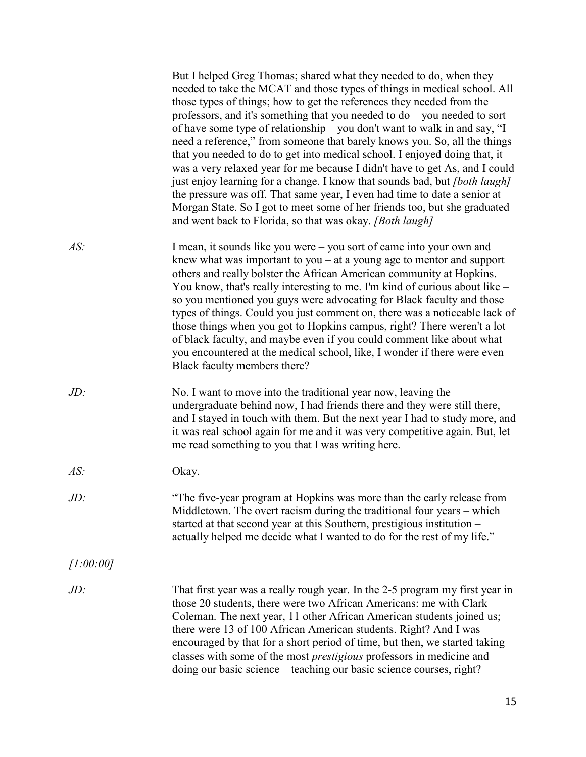|           | But I helped Greg Thomas; shared what they needed to do, when they<br>needed to take the MCAT and those types of things in medical school. All<br>those types of things; how to get the references they needed from the<br>professors, and it's something that you needed to $do$ – you needed to sort<br>of have some type of relationship - you don't want to walk in and say, "I<br>need a reference," from someone that barely knows you. So, all the things<br>that you needed to do to get into medical school. I enjoyed doing that, it<br>was a very relaxed year for me because I didn't have to get As, and I could<br>just enjoy learning for a change. I know that sounds bad, but <i>[both laugh]</i><br>the pressure was off. That same year, I even had time to date a senior at<br>Morgan State. So I got to meet some of her friends too, but she graduated<br>and went back to Florida, so that was okay. [Both laugh] |
|-----------|------------------------------------------------------------------------------------------------------------------------------------------------------------------------------------------------------------------------------------------------------------------------------------------------------------------------------------------------------------------------------------------------------------------------------------------------------------------------------------------------------------------------------------------------------------------------------------------------------------------------------------------------------------------------------------------------------------------------------------------------------------------------------------------------------------------------------------------------------------------------------------------------------------------------------------------|
| AS:       | I mean, it sounds like you were – you sort of came into your own and<br>knew what was important to you $-$ at a young age to mentor and support<br>others and really bolster the African American community at Hopkins.<br>You know, that's really interesting to me. I'm kind of curious about like –<br>so you mentioned you guys were advocating for Black faculty and those<br>types of things. Could you just comment on, there was a noticeable lack of<br>those things when you got to Hopkins campus, right? There weren't a lot<br>of black faculty, and maybe even if you could comment like about what<br>you encountered at the medical school, like, I wonder if there were even<br>Black faculty members there?                                                                                                                                                                                                            |
| $JD$ :    | No. I want to move into the traditional year now, leaving the<br>undergraduate behind now, I had friends there and they were still there,<br>and I stayed in touch with them. But the next year I had to study more, and<br>it was real school again for me and it was very competitive again. But, let<br>me read something to you that I was writing here.                                                                                                                                                                                                                                                                                                                                                                                                                                                                                                                                                                             |
| AS:       | Okay.                                                                                                                                                                                                                                                                                                                                                                                                                                                                                                                                                                                                                                                                                                                                                                                                                                                                                                                                    |
| $JD$ :    | "The five-year program at Hopkins was more than the early release from<br>Middletown. The overt racism during the traditional four years - which<br>started at that second year at this Southern, prestigious institution -<br>actually helped me decide what I wanted to do for the rest of my life."                                                                                                                                                                                                                                                                                                                                                                                                                                                                                                                                                                                                                                   |
| [1:00:00] |                                                                                                                                                                                                                                                                                                                                                                                                                                                                                                                                                                                                                                                                                                                                                                                                                                                                                                                                          |
| $JD$ :    | That first year was a really rough year. In the 2-5 program my first year in<br>those 20 students, there were two African Americans: me with Clark<br>Coleman. The next year, 11 other African American students joined us;<br>there were 13 of 100 African American students. Right? And I was<br>encouraged by that for a short period of time, but then, we started taking<br>classes with some of the most <i>prestigious</i> professors in medicine and<br>doing our basic science – teaching our basic science courses, right?                                                                                                                                                                                                                                                                                                                                                                                                     |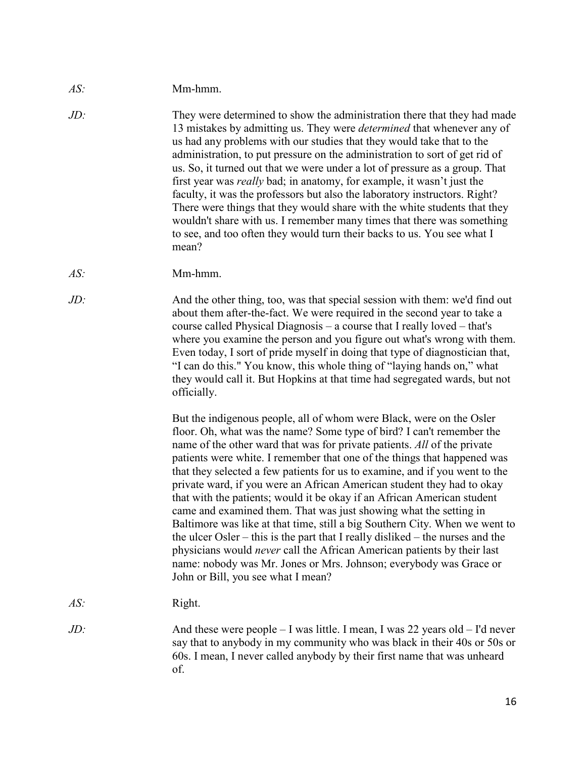| AS:    | Mm-hmm.                                                                                                                                                                                                                                                                                                                                                                                                                                                                                                                                                                                                                                                                                                                                                                                                                                                                                                                                                                |
|--------|------------------------------------------------------------------------------------------------------------------------------------------------------------------------------------------------------------------------------------------------------------------------------------------------------------------------------------------------------------------------------------------------------------------------------------------------------------------------------------------------------------------------------------------------------------------------------------------------------------------------------------------------------------------------------------------------------------------------------------------------------------------------------------------------------------------------------------------------------------------------------------------------------------------------------------------------------------------------|
| $JD$ : | They were determined to show the administration there that they had made<br>13 mistakes by admitting us. They were <i>determined</i> that whenever any of<br>us had any problems with our studies that they would take that to the<br>administration, to put pressure on the administration to sort of get rid of<br>us. So, it turned out that we were under a lot of pressure as a group. That<br>first year was <i>really</i> bad; in anatomy, for example, it wasn't just the<br>faculty, it was the professors but also the laboratory instructors. Right?<br>There were things that they would share with the white students that they<br>wouldn't share with us. I remember many times that there was something<br>to see, and too often they would turn their backs to us. You see what I<br>mean?                                                                                                                                                             |
| AS:    | Mm-hmm.                                                                                                                                                                                                                                                                                                                                                                                                                                                                                                                                                                                                                                                                                                                                                                                                                                                                                                                                                                |
| $JD$ : | And the other thing, too, was that special session with them: we'd find out<br>about them after-the-fact. We were required in the second year to take a<br>course called Physical Diagnosis – a course that I really loved – that's<br>where you examine the person and you figure out what's wrong with them.<br>Even today, I sort of pride myself in doing that type of diagnostician that,<br>"I can do this." You know, this whole thing of "laying hands on," what<br>they would call it. But Hopkins at that time had segregated wards, but not<br>officially.                                                                                                                                                                                                                                                                                                                                                                                                  |
|        | But the indigenous people, all of whom were Black, were on the Osler<br>floor. Oh, what was the name? Some type of bird? I can't remember the<br>name of the other ward that was for private patients. All of the private<br>patients were white. I remember that one of the things that happened was<br>that they selected a few patients for us to examine, and if you went to the<br>private ward, if you were an African American student they had to okay<br>that with the patients; would it be okay if an African American student<br>came and examined them. That was just showing what the setting in<br>Baltimore was like at that time, still a big Southern City. When we went to<br>the ulcer Osler – this is the part that I really disliked – the nurses and the<br>physicians would never call the African American patients by their last<br>name: nobody was Mr. Jones or Mrs. Johnson; everybody was Grace or<br>John or Bill, you see what I mean? |
| AS:    | Right.                                                                                                                                                                                                                                                                                                                                                                                                                                                                                                                                                                                                                                                                                                                                                                                                                                                                                                                                                                 |
| $JD$ : | And these were people $- I$ was little. I mean, I was 22 years old $- I$ 'd never<br>say that to anybody in my community who was black in their 40s or 50s or<br>60s. I mean, I never called anybody by their first name that was unheard<br>of.                                                                                                                                                                                                                                                                                                                                                                                                                                                                                                                                                                                                                                                                                                                       |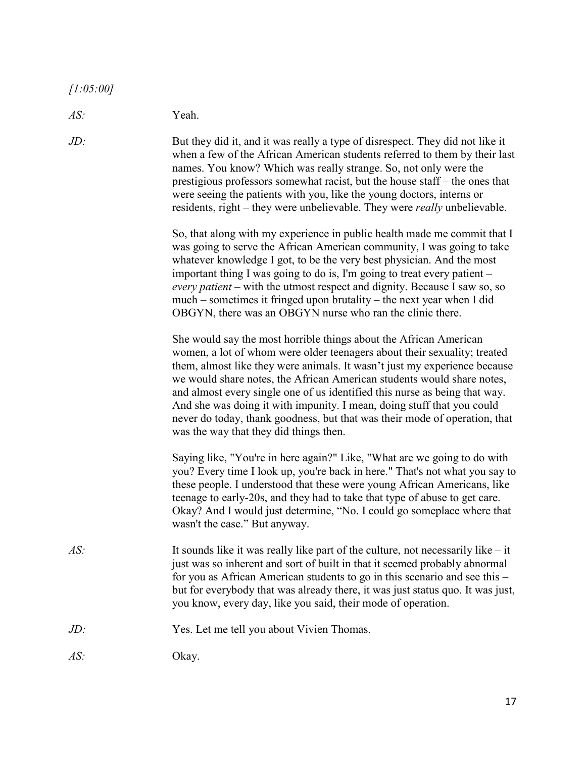|  | 1:05:001 |  |
|--|----------|--|
|  |          |  |

*AS:* Yeah.

*JD*: But they did it, and it was really a type of disrespect. They did not like it when a few of the African American students referred to them by their last names. You know? Which was really strange. So, not only were the prestigious professors somewhat racist, but the house staff – the ones that were seeing the patients with you, like the young doctors, interns or residents, right – they were unbelievable. They were *really* unbelievable.

> So, that along with my experience in public health made me commit that I was going to serve the African American community, I was going to take whatever knowledge I got, to be the very best physician. And the most important thing I was going to do is, I'm going to treat every patient – *every patient* – with the utmost respect and dignity. Because I saw so, so much – sometimes it fringed upon brutality – the next year when I did OBGYN, there was an OBGYN nurse who ran the clinic there.

> She would say the most horrible things about the African American women, a lot of whom were older teenagers about their sexuality; treated them, almost like they were animals. It wasn't just my experience because we would share notes, the African American students would share notes, and almost every single one of us identified this nurse as being that way. And she was doing it with impunity. I mean, doing stuff that you could never do today, thank goodness, but that was their mode of operation, that was the way that they did things then.

> Saying like, "You're in here again?" Like, "What are we going to do with you? Every time I look up, you're back in here." That's not what you say to these people. I understood that these were young African Americans, like teenage to early-20s, and they had to take that type of abuse to get care. Okay? And I would just determine, "No. I could go someplace where that wasn't the case." But anyway.

- AS: It sounds like it was really like part of the culture, not necessarily like it just was so inherent and sort of built in that it seemed probably abnormal for you as African American students to go in this scenario and see this – but for everybody that was already there, it was just status quo. It was just, you know, every day, like you said, their mode of operation.
- *JD*: Yes. Let me tell you about Vivien Thomas.
- *AS:* Okay.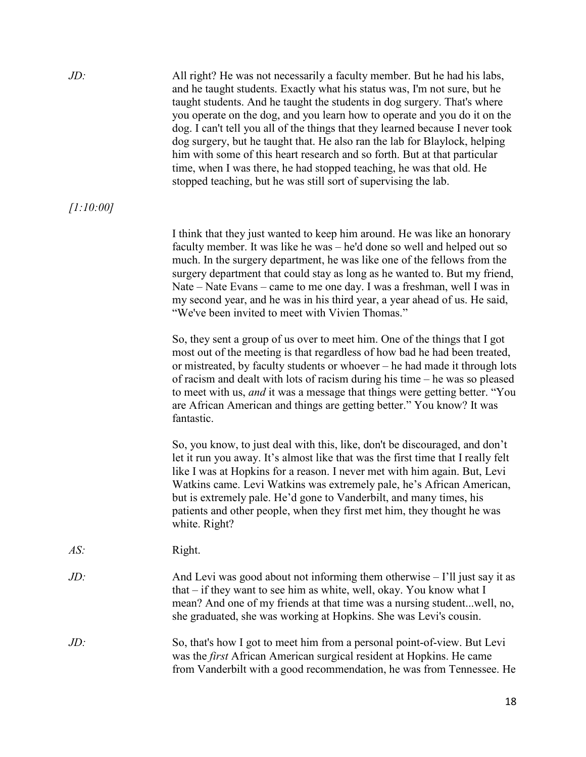| $JD$ :    | All right? He was not necessarily a faculty member. But he had his labs,<br>and he taught students. Exactly what his status was, I'm not sure, but he<br>taught students. And he taught the students in dog surgery. That's where<br>you operate on the dog, and you learn how to operate and you do it on the<br>dog. I can't tell you all of the things that they learned because I never took<br>dog surgery, but he taught that. He also ran the lab for Blaylock, helping<br>him with some of this heart research and so forth. But at that particular<br>time, when I was there, he had stopped teaching, he was that old. He<br>stopped teaching, but he was still sort of supervising the lab. |
|-----------|--------------------------------------------------------------------------------------------------------------------------------------------------------------------------------------------------------------------------------------------------------------------------------------------------------------------------------------------------------------------------------------------------------------------------------------------------------------------------------------------------------------------------------------------------------------------------------------------------------------------------------------------------------------------------------------------------------|
| [1:10:00] |                                                                                                                                                                                                                                                                                                                                                                                                                                                                                                                                                                                                                                                                                                        |
|           | I think that they just wanted to keep him around. He was like an honorary<br>faculty member. It was like he was – he'd done so well and helped out so<br>much. In the surgery department, he was like one of the fellows from the<br>surgery department that could stay as long as he wanted to. But my friend,<br>Nate – Nate Evans – came to me one day. I was a freshman, well I was in<br>my second year, and he was in his third year, a year ahead of us. He said,<br>"We've been invited to meet with Vivien Thomas."                                                                                                                                                                           |
|           | So, they sent a group of us over to meet him. One of the things that I got<br>most out of the meeting is that regardless of how bad he had been treated,<br>or mistreated, by faculty students or whoever - he had made it through lots<br>of racism and dealt with lots of racism during his time – he was so pleased<br>to meet with us, and it was a message that things were getting better. "You<br>are African American and things are getting better." You know? It was<br>fantastic.                                                                                                                                                                                                           |
|           | So, you know, to just deal with this, like, don't be discouraged, and don't<br>let it run you away. It's almost like that was the first time that I really felt<br>like I was at Hopkins for a reason. I never met with him again. But, Levi<br>Watkins came. Levi Watkins was extremely pale, he's African American,<br>but is extremely pale. He'd gone to Vanderbilt, and many times, his<br>patients and other people, when they first met him, they thought he was<br>white. Right?                                                                                                                                                                                                               |
| AS:       | Right.                                                                                                                                                                                                                                                                                                                                                                                                                                                                                                                                                                                                                                                                                                 |
| $JD$ :    | And Levi was good about not informing them otherwise $-1$ 'll just say it as<br>that - if they want to see him as white, well, okay. You know what I<br>mean? And one of my friends at that time was a nursing studentwell, no,<br>she graduated, she was working at Hopkins. She was Levi's cousin.                                                                                                                                                                                                                                                                                                                                                                                                   |
| $JD$ :    | So, that's how I got to meet him from a personal point-of-view. But Levi<br>was the <i>first</i> African American surgical resident at Hopkins. He came<br>from Vanderbilt with a good recommendation, he was from Tennessee. He                                                                                                                                                                                                                                                                                                                                                                                                                                                                       |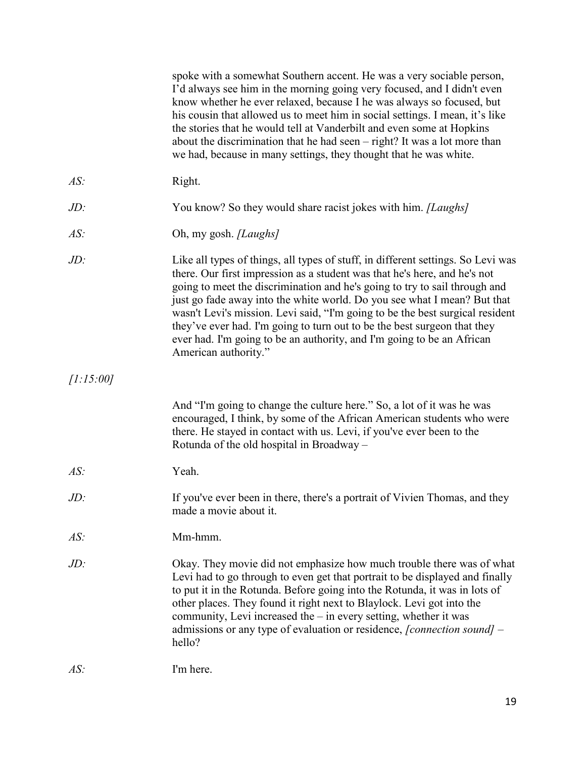|           | spoke with a somewhat Southern accent. He was a very sociable person,<br>I'd always see him in the morning going very focused, and I didn't even<br>know whether he ever relaxed, because I he was always so focused, but<br>his cousin that allowed us to meet him in social settings. I mean, it's like<br>the stories that he would tell at Vanderbilt and even some at Hopkins<br>about the discrimination that he had seen $-$ right? It was a lot more than<br>we had, because in many settings, they thought that he was white.                                                 |
|-----------|----------------------------------------------------------------------------------------------------------------------------------------------------------------------------------------------------------------------------------------------------------------------------------------------------------------------------------------------------------------------------------------------------------------------------------------------------------------------------------------------------------------------------------------------------------------------------------------|
| AS:       | Right.                                                                                                                                                                                                                                                                                                                                                                                                                                                                                                                                                                                 |
| $JD$ :    | You know? So they would share racist jokes with him. <i>[Laughs]</i>                                                                                                                                                                                                                                                                                                                                                                                                                                                                                                                   |
| AS:       | Oh, my gosh. [Laughs]                                                                                                                                                                                                                                                                                                                                                                                                                                                                                                                                                                  |
| $JD$ :    | Like all types of things, all types of stuff, in different settings. So Levi was<br>there. Our first impression as a student was that he's here, and he's not<br>going to meet the discrimination and he's going to try to sail through and<br>just go fade away into the white world. Do you see what I mean? But that<br>wasn't Levi's mission. Levi said, "I'm going to be the best surgical resident<br>they've ever had. I'm going to turn out to be the best surgeon that they<br>ever had. I'm going to be an authority, and I'm going to be an African<br>American authority." |
| [1:15:00] |                                                                                                                                                                                                                                                                                                                                                                                                                                                                                                                                                                                        |
|           | And "I'm going to change the culture here." So, a lot of it was he was<br>encouraged, I think, by some of the African American students who were<br>there. He stayed in contact with us. Levi, if you've ever been to the<br>Rotunda of the old hospital in Broadway -                                                                                                                                                                                                                                                                                                                 |
| AS:       | Yeah.                                                                                                                                                                                                                                                                                                                                                                                                                                                                                                                                                                                  |
| $JD$ :    | If you've ever been in there, there's a portrait of Vivien Thomas, and they<br>made a movie about it.                                                                                                                                                                                                                                                                                                                                                                                                                                                                                  |
| AS:       | Mm-hmm.                                                                                                                                                                                                                                                                                                                                                                                                                                                                                                                                                                                |
| $JD$ :    | Okay. They movie did not emphasize how much trouble there was of what<br>Levi had to go through to even get that portrait to be displayed and finally<br>to put it in the Rotunda. Before going into the Rotunda, it was in lots of<br>other places. They found it right next to Blaylock. Levi got into the<br>community, Levi increased the - in every setting, whether it was<br>admissions or any type of evaluation or residence, [connection sound] -<br>hello?                                                                                                                  |
| AS:       | I'm here.                                                                                                                                                                                                                                                                                                                                                                                                                                                                                                                                                                              |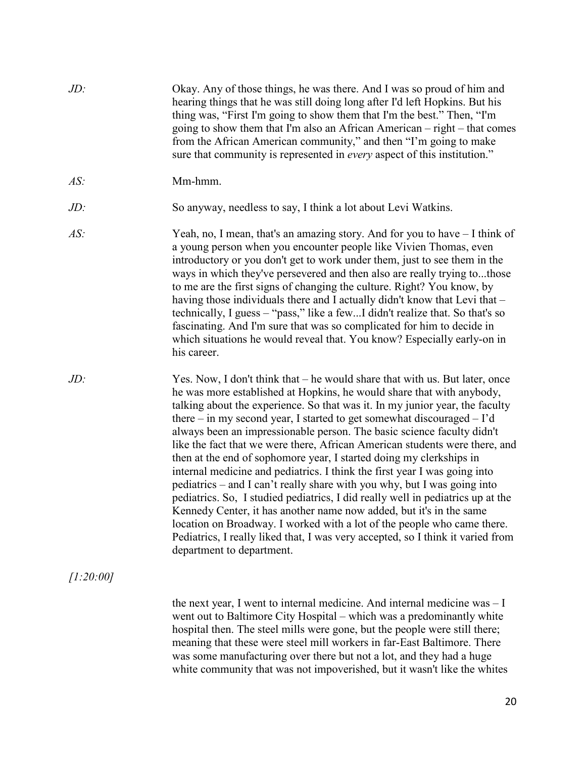| $JD$ :    | Okay. Any of those things, he was there. And I was so proud of him and<br>hearing things that he was still doing long after I'd left Hopkins. But his<br>thing was, "First I'm going to show them that I'm the best." Then, "I'm<br>going to show them that I'm also an African American $-$ right $-$ that comes<br>from the African American community," and then "I'm going to make<br>sure that community is represented in <i>every</i> aspect of this institution."                                                                                                                                                                                                                                                                                                                                                                                                                                                                                                                                                                                        |
|-----------|------------------------------------------------------------------------------------------------------------------------------------------------------------------------------------------------------------------------------------------------------------------------------------------------------------------------------------------------------------------------------------------------------------------------------------------------------------------------------------------------------------------------------------------------------------------------------------------------------------------------------------------------------------------------------------------------------------------------------------------------------------------------------------------------------------------------------------------------------------------------------------------------------------------------------------------------------------------------------------------------------------------------------------------------------------------|
| AS:       | Mm-hmm.                                                                                                                                                                                                                                                                                                                                                                                                                                                                                                                                                                                                                                                                                                                                                                                                                                                                                                                                                                                                                                                          |
| $JD$ :    | So anyway, needless to say, I think a lot about Levi Watkins.                                                                                                                                                                                                                                                                                                                                                                                                                                                                                                                                                                                                                                                                                                                                                                                                                                                                                                                                                                                                    |
| AS:       | Yeah, no, I mean, that's an amazing story. And for you to have – I think of<br>a young person when you encounter people like Vivien Thomas, even<br>introductory or you don't get to work under them, just to see them in the<br>ways in which they've persevered and then also are really trying tothose<br>to me are the first signs of changing the culture. Right? You know, by<br>having those individuals there and I actually didn't know that Levi that -<br>technically, I guess - "pass," like a fewI didn't realize that. So that's so<br>fascinating. And I'm sure that was so complicated for him to decide in<br>which situations he would reveal that. You know? Especially early-on in<br>his career.                                                                                                                                                                                                                                                                                                                                            |
| $JD$ :    | Yes. Now, I don't think that – he would share that with us. But later, once<br>he was more established at Hopkins, he would share that with anybody,<br>talking about the experience. So that was it. In my junior year, the faculty<br>there $-$ in my second year, I started to get somewhat discouraged $-$ I'd<br>always been an impressionable person. The basic science faculty didn't<br>like the fact that we were there, African American students were there, and<br>then at the end of sophomore year, I started doing my clerkships in<br>internal medicine and pediatrics. I think the first year I was going into<br>pediatrics – and I can't really share with you why, but I was going into<br>pediatrics. So, I studied pediatrics, I did really well in pediatrics up at the<br>Kennedy Center, it has another name now added, but it's in the same<br>location on Broadway. I worked with a lot of the people who came there.<br>Pediatrics, I really liked that, I was very accepted, so I think it varied from<br>department to department. |
| [1:20:00] |                                                                                                                                                                                                                                                                                                                                                                                                                                                                                                                                                                                                                                                                                                                                                                                                                                                                                                                                                                                                                                                                  |
|           | the next year, I went to internal medicine. And internal medicine $was - I$<br>went out to Baltimore City Hospital – which was a predominantly white<br>hospital then. The steel mills were gone, but the people were still there;<br>meaning that these were steel mill workers in far-East Baltimore. There<br>was some manufacturing over there but not a lot, and they had a huge<br>white community that was not impoverished, but it wasn't like the whites                                                                                                                                                                                                                                                                                                                                                                                                                                                                                                                                                                                                |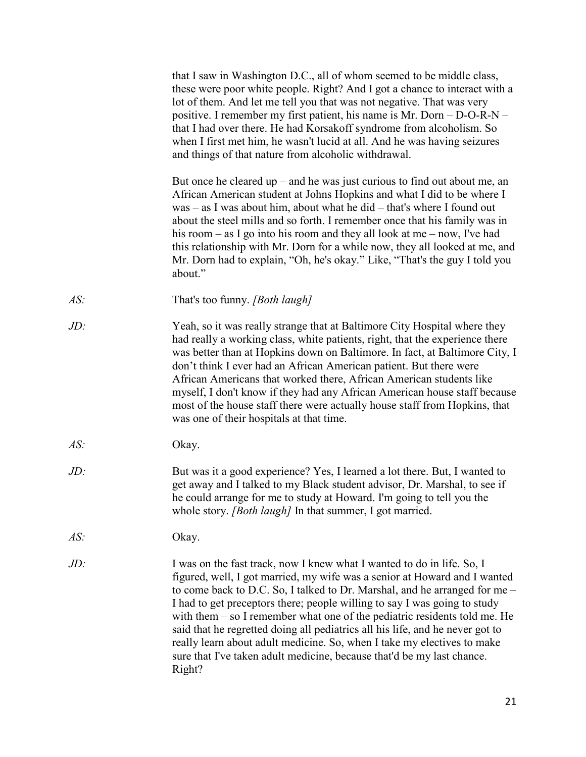|          | that I saw in Washington D.C., all of whom seemed to be middle class,<br>these were poor white people. Right? And I got a chance to interact with a<br>lot of them. And let me tell you that was not negative. That was very<br>positive. I remember my first patient, his name is Mr. Dorn - D-O-R-N -<br>that I had over there. He had Korsakoff syndrome from alcoholism. So<br>when I first met him, he wasn't lucid at all. And he was having seizures<br>and things of that nature from alcoholic withdrawal.                                                                                                                           |
|----------|-----------------------------------------------------------------------------------------------------------------------------------------------------------------------------------------------------------------------------------------------------------------------------------------------------------------------------------------------------------------------------------------------------------------------------------------------------------------------------------------------------------------------------------------------------------------------------------------------------------------------------------------------|
|          | But once he cleared $up$ – and he was just curious to find out about me, an<br>African American student at Johns Hopkins and what I did to be where I<br>$was - as I was about him, about what he did - that's where I found out$<br>about the steel mills and so forth. I remember once that his family was in<br>his room $-$ as I go into his room and they all look at me $-$ now, I've had<br>this relationship with Mr. Dorn for a while now, they all looked at me, and<br>Mr. Dorn had to explain, "Oh, he's okay." Like, "That's the guy I told you<br>about."                                                                       |
| AS:      | That's too funny. <i>[Both laugh]</i>                                                                                                                                                                                                                                                                                                                                                                                                                                                                                                                                                                                                         |
| JD:      | Yeah, so it was really strange that at Baltimore City Hospital where they<br>had really a working class, white patients, right, that the experience there<br>was better than at Hopkins down on Baltimore. In fact, at Baltimore City, I<br>don't think I ever had an African American patient. But there were<br>African Americans that worked there, African American students like<br>myself, I don't know if they had any African American house staff because<br>most of the house staff there were actually house staff from Hopkins, that<br>was one of their hospitals at that time.                                                  |
| AS:      | Okay.                                                                                                                                                                                                                                                                                                                                                                                                                                                                                                                                                                                                                                         |
| JD:      | But was it a good experience? Yes, I learned a lot there. But, I wanted to<br>get away and I talked to my Black student advisor, Dr. Marshal, to see if<br>he could arrange for me to study at Howard. I'm going to tell you the<br>whole story. <i>[Both laugh]</i> In that summer, I got married.                                                                                                                                                                                                                                                                                                                                           |
| AS:      | Okay.                                                                                                                                                                                                                                                                                                                                                                                                                                                                                                                                                                                                                                         |
| $J\!D$ : | I was on the fast track, now I knew what I wanted to do in life. So, I<br>figured, well, I got married, my wife was a senior at Howard and I wanted<br>to come back to D.C. So, I talked to Dr. Marshal, and he arranged for me -<br>I had to get preceptors there; people willing to say I was going to study<br>with them $-$ so I remember what one of the pediatric residents told me. He<br>said that he regretted doing all pediatrics all his life, and he never got to<br>really learn about adult medicine. So, when I take my electives to make<br>sure that I've taken adult medicine, because that'd be my last chance.<br>Right? |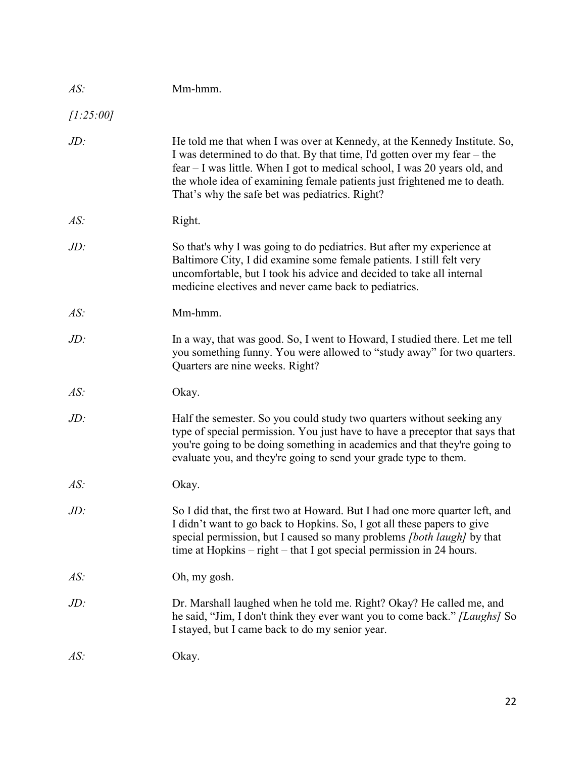| AS:       | Mm-hmm.                                                                                                                                                                                                                                                                                                                                                             |
|-----------|---------------------------------------------------------------------------------------------------------------------------------------------------------------------------------------------------------------------------------------------------------------------------------------------------------------------------------------------------------------------|
| [1:25:00] |                                                                                                                                                                                                                                                                                                                                                                     |
| $JD$ :    | He told me that when I was over at Kennedy, at the Kennedy Institute. So,<br>I was determined to do that. By that time, I'd gotten over my fear $-$ the<br>fear – I was little. When I got to medical school, I was 20 years old, and<br>the whole idea of examining female patients just frightened me to death.<br>That's why the safe bet was pediatrics. Right? |
| AS:       | Right.                                                                                                                                                                                                                                                                                                                                                              |
| $JD$ :    | So that's why I was going to do pediatrics. But after my experience at<br>Baltimore City, I did examine some female patients. I still felt very<br>uncomfortable, but I took his advice and decided to take all internal<br>medicine electives and never came back to pediatrics.                                                                                   |
| AS:       | Mm-hmm.                                                                                                                                                                                                                                                                                                                                                             |
| $JD$ :    | In a way, that was good. So, I went to Howard, I studied there. Let me tell<br>you something funny. You were allowed to "study away" for two quarters.<br>Quarters are nine weeks. Right?                                                                                                                                                                           |
| AS:       | Okay.                                                                                                                                                                                                                                                                                                                                                               |
| $JD$ :    | Half the semester. So you could study two quarters without seeking any<br>type of special permission. You just have to have a preceptor that says that<br>you're going to be doing something in academics and that they're going to<br>evaluate you, and they're going to send your grade type to them.                                                             |
| AS:       | Okay.                                                                                                                                                                                                                                                                                                                                                               |
| JD:       | So I did that, the first two at Howard. But I had one more quarter left, and<br>I didn't want to go back to Hopkins. So, I got all these papers to give<br>special permission, but I caused so many problems <i>[both laugh]</i> by that<br>time at Hopkins $-$ right $-$ that I got special permission in 24 hours.                                                |
| AS:       | Oh, my gosh.                                                                                                                                                                                                                                                                                                                                                        |
| $JD$ :    | Dr. Marshall laughed when he told me. Right? Okay? He called me, and<br>he said, "Jim, I don't think they ever want you to come back." [Laughs] So<br>I stayed, but I came back to do my senior year.                                                                                                                                                               |
| AS:       | Okay.                                                                                                                                                                                                                                                                                                                                                               |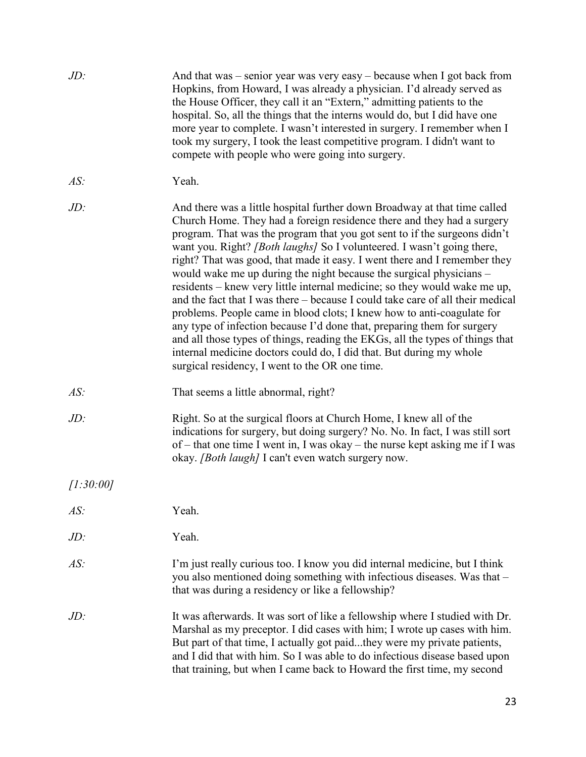| $JD$ :    | And that was - senior year was very easy - because when I got back from<br>Hopkins, from Howard, I was already a physician. I'd already served as<br>the House Officer, they call it an "Extern," admitting patients to the<br>hospital. So, all the things that the interns would do, but I did have one<br>more year to complete. I wasn't interested in surgery. I remember when I<br>took my surgery, I took the least competitive program. I didn't want to<br>compete with people who were going into surgery.                                                                                                                                                                                                                                                                                                                                                                                                                                                                         |
|-----------|----------------------------------------------------------------------------------------------------------------------------------------------------------------------------------------------------------------------------------------------------------------------------------------------------------------------------------------------------------------------------------------------------------------------------------------------------------------------------------------------------------------------------------------------------------------------------------------------------------------------------------------------------------------------------------------------------------------------------------------------------------------------------------------------------------------------------------------------------------------------------------------------------------------------------------------------------------------------------------------------|
| AS:       | Yeah.                                                                                                                                                                                                                                                                                                                                                                                                                                                                                                                                                                                                                                                                                                                                                                                                                                                                                                                                                                                        |
| $JD$ :    | And there was a little hospital further down Broadway at that time called<br>Church Home. They had a foreign residence there and they had a surgery<br>program. That was the program that you got sent to if the surgeons didn't<br>want you. Right? [Both laughs] So I volunteered. I wasn't going there,<br>right? That was good, that made it easy. I went there and I remember they<br>would wake me up during the night because the surgical physicians –<br>residents – knew very little internal medicine; so they would wake me up,<br>and the fact that I was there – because I could take care of all their medical<br>problems. People came in blood clots; I knew how to anti-coagulate for<br>any type of infection because I'd done that, preparing them for surgery<br>and all those types of things, reading the EKGs, all the types of things that<br>internal medicine doctors could do, I did that. But during my whole<br>surgical residency, I went to the OR one time. |
| AS:       | That seems a little abnormal, right?                                                                                                                                                                                                                                                                                                                                                                                                                                                                                                                                                                                                                                                                                                                                                                                                                                                                                                                                                         |
| $JD$ :    | Right. So at the surgical floors at Church Home, I knew all of the<br>indications for surgery, but doing surgery? No. No. In fact, I was still sort<br>of – that one time I went in, I was okay – the nurse kept asking me if I was<br>okay. <i>[Both laugh]</i> I can't even watch surgery now.                                                                                                                                                                                                                                                                                                                                                                                                                                                                                                                                                                                                                                                                                             |
| [1:30:00] |                                                                                                                                                                                                                                                                                                                                                                                                                                                                                                                                                                                                                                                                                                                                                                                                                                                                                                                                                                                              |
| AS:       | Yeah.                                                                                                                                                                                                                                                                                                                                                                                                                                                                                                                                                                                                                                                                                                                                                                                                                                                                                                                                                                                        |
| $JD$ :    | Yeah.                                                                                                                                                                                                                                                                                                                                                                                                                                                                                                                                                                                                                                                                                                                                                                                                                                                                                                                                                                                        |
| AS:       | I'm just really curious too. I know you did internal medicine, but I think<br>you also mentioned doing something with infectious diseases. Was that -<br>that was during a residency or like a fellowship?                                                                                                                                                                                                                                                                                                                                                                                                                                                                                                                                                                                                                                                                                                                                                                                   |
| $JD$ :    | It was afterwards. It was sort of like a fellowship where I studied with Dr.<br>Marshal as my preceptor. I did cases with him; I wrote up cases with him.<br>But part of that time, I actually got paidthey were my private patients,<br>and I did that with him. So I was able to do infectious disease based upon<br>that training, but when I came back to Howard the first time, my second                                                                                                                                                                                                                                                                                                                                                                                                                                                                                                                                                                                               |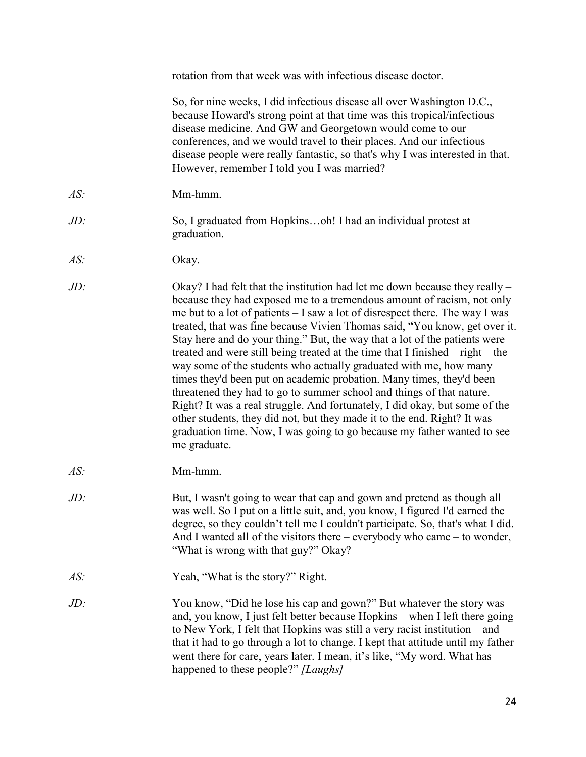|        | rotation from that week was with infectious disease doctor.                                                                                                                                                                                                                                                                                                                                                                                                                                                                                                                                                                                                                                                                                                                                                                                                                                                                                                       |
|--------|-------------------------------------------------------------------------------------------------------------------------------------------------------------------------------------------------------------------------------------------------------------------------------------------------------------------------------------------------------------------------------------------------------------------------------------------------------------------------------------------------------------------------------------------------------------------------------------------------------------------------------------------------------------------------------------------------------------------------------------------------------------------------------------------------------------------------------------------------------------------------------------------------------------------------------------------------------------------|
|        | So, for nine weeks, I did infectious disease all over Washington D.C.,<br>because Howard's strong point at that time was this tropical/infectious<br>disease medicine. And GW and Georgetown would come to our<br>conferences, and we would travel to their places. And our infectious<br>disease people were really fantastic, so that's why I was interested in that.<br>However, remember I told you I was married?                                                                                                                                                                                                                                                                                                                                                                                                                                                                                                                                            |
| AS:    | Mm-hmm.                                                                                                                                                                                                                                                                                                                                                                                                                                                                                                                                                                                                                                                                                                                                                                                                                                                                                                                                                           |
| $JD$ : | So, I graduated from Hopkinsoh! I had an individual protest at<br>graduation.                                                                                                                                                                                                                                                                                                                                                                                                                                                                                                                                                                                                                                                                                                                                                                                                                                                                                     |
| AS:    | Okay.                                                                                                                                                                                                                                                                                                                                                                                                                                                                                                                                                                                                                                                                                                                                                                                                                                                                                                                                                             |
| JD:    | Okay? I had felt that the institution had let me down because they really $-$<br>because they had exposed me to a tremendous amount of racism, not only<br>me but to a lot of patients – I saw a lot of disrespect there. The way I was<br>treated, that was fine because Vivien Thomas said, "You know, get over it.<br>Stay here and do your thing." But, the way that a lot of the patients were<br>treated and were still being treated at the time that I finished – right – the<br>way some of the students who actually graduated with me, how many<br>times they'd been put on academic probation. Many times, they'd been<br>threatened they had to go to summer school and things of that nature.<br>Right? It was a real struggle. And fortunately, I did okay, but some of the<br>other students, they did not, but they made it to the end. Right? It was<br>graduation time. Now, I was going to go because my father wanted to see<br>me graduate. |
| AS:    | Mm-hmm.                                                                                                                                                                                                                                                                                                                                                                                                                                                                                                                                                                                                                                                                                                                                                                                                                                                                                                                                                           |
| $JD$ : | But, I wasn't going to wear that cap and gown and pretend as though all<br>was well. So I put on a little suit, and, you know, I figured I'd earned the<br>degree, so they couldn't tell me I couldn't participate. So, that's what I did.<br>And I wanted all of the visitors there $-$ everybody who came $-$ to wonder,<br>"What is wrong with that guy?" Okay?                                                                                                                                                                                                                                                                                                                                                                                                                                                                                                                                                                                                |
| AS:    | Yeah, "What is the story?" Right.                                                                                                                                                                                                                                                                                                                                                                                                                                                                                                                                                                                                                                                                                                                                                                                                                                                                                                                                 |
| $JD$ : | You know, "Did he lose his cap and gown?" But whatever the story was<br>and, you know, I just felt better because Hopkins – when I left there going<br>to New York, I felt that Hopkins was still a very racist institution – and<br>that it had to go through a lot to change. I kept that attitude until my father<br>went there for care, years later. I mean, it's like, "My word. What has<br>happened to these people?" [Laughs]                                                                                                                                                                                                                                                                                                                                                                                                                                                                                                                            |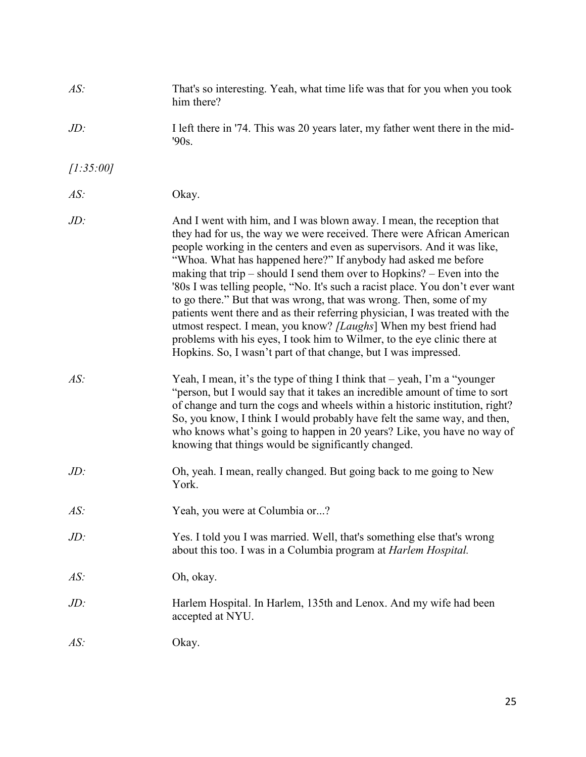| AS:       | That's so interesting. Yeah, what time life was that for you when you took<br>him there?                                                                                                                                                                                                                                                                                                                                                                                                                                                                                                                                                                                                                                                                                                                                           |
|-----------|------------------------------------------------------------------------------------------------------------------------------------------------------------------------------------------------------------------------------------------------------------------------------------------------------------------------------------------------------------------------------------------------------------------------------------------------------------------------------------------------------------------------------------------------------------------------------------------------------------------------------------------------------------------------------------------------------------------------------------------------------------------------------------------------------------------------------------|
| $JD$ :    | I left there in '74. This was 20 years later, my father went there in the mid-<br>90s.                                                                                                                                                                                                                                                                                                                                                                                                                                                                                                                                                                                                                                                                                                                                             |
| [1:35:00] |                                                                                                                                                                                                                                                                                                                                                                                                                                                                                                                                                                                                                                                                                                                                                                                                                                    |
| AS:       | Okay.                                                                                                                                                                                                                                                                                                                                                                                                                                                                                                                                                                                                                                                                                                                                                                                                                              |
| $JD$ :    | And I went with him, and I was blown away. I mean, the reception that<br>they had for us, the way we were received. There were African American<br>people working in the centers and even as supervisors. And it was like,<br>"Whoa. What has happened here?" If anybody had asked me before<br>making that trip – should I send them over to Hopkins? – Even into the<br>'80s I was telling people, "No. It's such a racist place. You don't ever want<br>to go there." But that was wrong, that was wrong. Then, some of my<br>patients went there and as their referring physician, I was treated with the<br>utmost respect. I mean, you know? [Laughs] When my best friend had<br>problems with his eyes, I took him to Wilmer, to the eye clinic there at<br>Hopkins. So, I wasn't part of that change, but I was impressed. |
| AS:       | Yeah, I mean, it's the type of thing I think that – yeah, I'm a "younger"<br>"person, but I would say that it takes an incredible amount of time to sort<br>of change and turn the cogs and wheels within a historic institution, right?<br>So, you know, I think I would probably have felt the same way, and then,<br>who knows what's going to happen in 20 years? Like, you have no way of<br>knowing that things would be significantly changed.                                                                                                                                                                                                                                                                                                                                                                              |
| $JD$ :    | Oh, yeah. I mean, really changed. But going back to me going to New<br>York.                                                                                                                                                                                                                                                                                                                                                                                                                                                                                                                                                                                                                                                                                                                                                       |
| AS:       | Yeah, you were at Columbia or?                                                                                                                                                                                                                                                                                                                                                                                                                                                                                                                                                                                                                                                                                                                                                                                                     |
| $JD$ :    | Yes. I told you I was married. Well, that's something else that's wrong<br>about this too. I was in a Columbia program at <i>Harlem Hospital</i> .                                                                                                                                                                                                                                                                                                                                                                                                                                                                                                                                                                                                                                                                                 |
| AS:       | Oh, okay.                                                                                                                                                                                                                                                                                                                                                                                                                                                                                                                                                                                                                                                                                                                                                                                                                          |
| $JD$ :    | Harlem Hospital. In Harlem, 135th and Lenox. And my wife had been<br>accepted at NYU.                                                                                                                                                                                                                                                                                                                                                                                                                                                                                                                                                                                                                                                                                                                                              |
| AS:       | Okay.                                                                                                                                                                                                                                                                                                                                                                                                                                                                                                                                                                                                                                                                                                                                                                                                                              |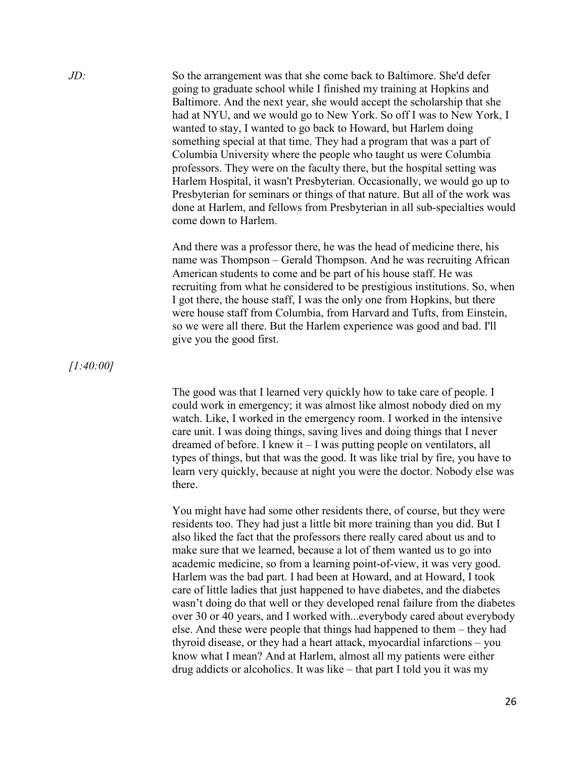*JD*: So the arrangement was that she come back to Baltimore. She'd defer going to graduate school while I finished my training at Hopkins and Baltimore. And the next year, she would accept the scholarship that she had at NYU, and we would go to New York. So off I was to New York, I wanted to stay, I wanted to go back to Howard, but Harlem doing something special at that time. They had a program that was a part of Columbia University where the people who taught us were Columbia professors. They were on the faculty there, but the hospital setting was Harlem Hospital, it wasn't Presbyterian. Occasionally, we would go up to Presbyterian for seminars or things of that nature. But all of the work was done at Harlem, and fellows from Presbyterian in all sub-specialties would come down to Harlem.

> And there was a professor there, he was the head of medicine there, his name was Thompson – Gerald Thompson. And he was recruiting African American students to come and be part of his house staff. He was recruiting from what he considered to be prestigious institutions. So, when I got there, the house staff, I was the only one from Hopkins, but there were house staff from Columbia, from Harvard and Tufts, from Einstein, so we were all there. But the Harlem experience was good and bad. I'll give you the good first.

*[1:40:00]* 

The good was that I learned very quickly how to take care of people. I could work in emergency; it was almost like almost nobody died on my watch. Like, I worked in the emergency room. I worked in the intensive care unit. I was doing things, saving lives and doing things that I never dreamed of before. I knew it – I was putting people on ventilators, all types of things, but that was the good. It was like trial by fire, you have to learn very quickly, because at night you were the doctor. Nobody else was there.

You might have had some other residents there, of course, but they were residents too. They had just a little bit more training than you did. But I also liked the fact that the professors there really cared about us and to make sure that we learned, because a lot of them wanted us to go into academic medicine, so from a learning point-of-view, it was very good. Harlem was the bad part. I had been at Howard, and at Howard, I took care of little ladies that just happened to have diabetes, and the diabetes wasn't doing do that well or they developed renal failure from the diabetes over 30 or 40 years, and I worked with...everybody cared about everybody else. And these were people that things had happened to them – they had thyroid disease, or they had a heart attack, myocardial infarctions – you know what I mean? And at Harlem, almost all my patients were either drug addicts or alcoholics. It was like – that part I told you it was my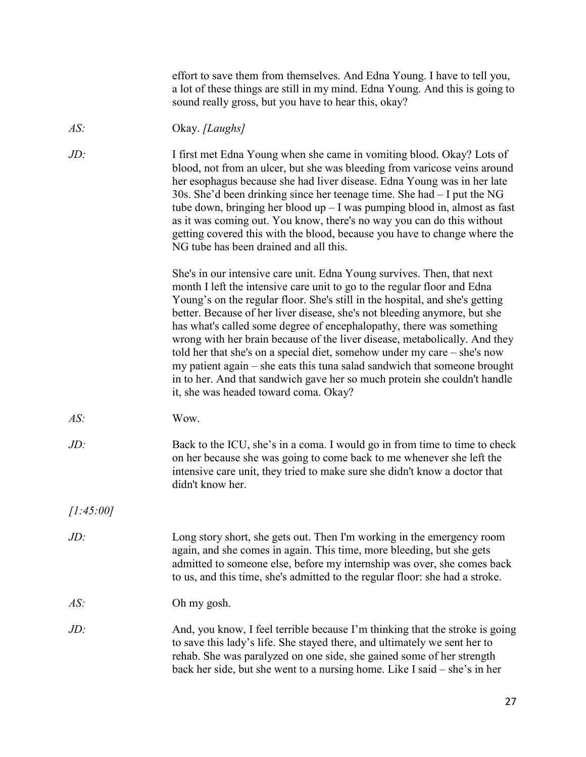|           | effort to save them from themselves. And Edna Young. I have to tell you,<br>a lot of these things are still in my mind. Edna Young. And this is going to<br>sound really gross, but you have to hear this, okay?                                                                                                                                                                                                                                                                                                                                                                                                                                                                                                                                       |
|-----------|--------------------------------------------------------------------------------------------------------------------------------------------------------------------------------------------------------------------------------------------------------------------------------------------------------------------------------------------------------------------------------------------------------------------------------------------------------------------------------------------------------------------------------------------------------------------------------------------------------------------------------------------------------------------------------------------------------------------------------------------------------|
| AS:       | Okay. [Laughs]                                                                                                                                                                                                                                                                                                                                                                                                                                                                                                                                                                                                                                                                                                                                         |
| $JD$ :    | I first met Edna Young when she came in vomiting blood. Okay? Lots of<br>blood, not from an ulcer, but she was bleeding from varicose veins around<br>her esophagus because she had liver disease. Edna Young was in her late<br>30s. She'd been drinking since her teenage time. She had $- I$ put the NG<br>tube down, bringing her blood up $-1$ was pumping blood in, almost as fast<br>as it was coming out. You know, there's no way you can do this without<br>getting covered this with the blood, because you have to change where the<br>NG tube has been drained and all this.                                                                                                                                                              |
|           | She's in our intensive care unit. Edna Young survives. Then, that next<br>month I left the intensive care unit to go to the regular floor and Edna<br>Young's on the regular floor. She's still in the hospital, and she's getting<br>better. Because of her liver disease, she's not bleeding anymore, but she<br>has what's called some degree of encephalopathy, there was something<br>wrong with her brain because of the liver disease, metabolically. And they<br>told her that she's on a special diet, somehow under my care $-$ she's now<br>my patient again – she eats this tuna salad sandwich that someone brought<br>in to her. And that sandwich gave her so much protein she couldn't handle<br>it, she was headed toward coma. Okay? |
| AS:       | Wow.                                                                                                                                                                                                                                                                                                                                                                                                                                                                                                                                                                                                                                                                                                                                                   |
| $JD$ :    | Back to the ICU, she's in a coma. I would go in from time to time to check<br>on her because she was going to come back to me whenever she left the<br>intensive care unit, they tried to make sure she didn't know a doctor that<br>didn't know her.                                                                                                                                                                                                                                                                                                                                                                                                                                                                                                  |
| [1:45:00] |                                                                                                                                                                                                                                                                                                                                                                                                                                                                                                                                                                                                                                                                                                                                                        |
| $JD$ :    | Long story short, she gets out. Then I'm working in the emergency room<br>again, and she comes in again. This time, more bleeding, but she gets<br>admitted to someone else, before my internship was over, she comes back<br>to us, and this time, she's admitted to the regular floor: she had a stroke.                                                                                                                                                                                                                                                                                                                                                                                                                                             |
| AS:       | Oh my gosh.                                                                                                                                                                                                                                                                                                                                                                                                                                                                                                                                                                                                                                                                                                                                            |
| $JD$ :    | And, you know, I feel terrible because I'm thinking that the stroke is going<br>to save this lady's life. She stayed there, and ultimately we sent her to<br>rehab. She was paralyzed on one side, she gained some of her strength<br>back her side, but she went to a nursing home. Like I said – she's in her                                                                                                                                                                                                                                                                                                                                                                                                                                        |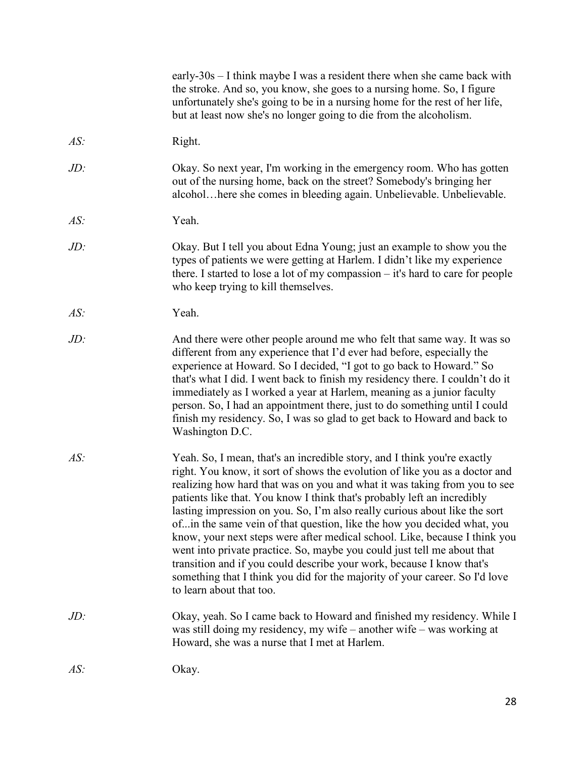|          | early- $30s - I$ think maybe I was a resident there when she came back with<br>the stroke. And so, you know, she goes to a nursing home. So, I figure<br>unfortunately she's going to be in a nursing home for the rest of her life,<br>but at least now she's no longer going to die from the alcoholism.                                                                                                                                                                                                                                                                                                                                                                                                                                                                                                             |
|----------|------------------------------------------------------------------------------------------------------------------------------------------------------------------------------------------------------------------------------------------------------------------------------------------------------------------------------------------------------------------------------------------------------------------------------------------------------------------------------------------------------------------------------------------------------------------------------------------------------------------------------------------------------------------------------------------------------------------------------------------------------------------------------------------------------------------------|
| AS:      | Right.                                                                                                                                                                                                                                                                                                                                                                                                                                                                                                                                                                                                                                                                                                                                                                                                                 |
| JD:      | Okay. So next year, I'm working in the emergency room. Who has gotten<br>out of the nursing home, back on the street? Somebody's bringing her<br>alcoholhere she comes in bleeding again. Unbelievable. Unbelievable.                                                                                                                                                                                                                                                                                                                                                                                                                                                                                                                                                                                                  |
| AS:      | Yeah.                                                                                                                                                                                                                                                                                                                                                                                                                                                                                                                                                                                                                                                                                                                                                                                                                  |
| JD:      | Okay. But I tell you about Edna Young; just an example to show you the<br>types of patients we were getting at Harlem. I didn't like my experience<br>there. I started to lose a lot of my compassion $-$ it's hard to care for people<br>who keep trying to kill themselves.                                                                                                                                                                                                                                                                                                                                                                                                                                                                                                                                          |
| AS:      | Yeah.                                                                                                                                                                                                                                                                                                                                                                                                                                                                                                                                                                                                                                                                                                                                                                                                                  |
| $J\!D$ : | And there were other people around me who felt that same way. It was so<br>different from any experience that I'd ever had before, especially the<br>experience at Howard. So I decided, "I got to go back to Howard." So<br>that's what I did. I went back to finish my residency there. I couldn't do it<br>immediately as I worked a year at Harlem, meaning as a junior faculty<br>person. So, I had an appointment there, just to do something until I could<br>finish my residency. So, I was so glad to get back to Howard and back to<br>Washington D.C.                                                                                                                                                                                                                                                       |
| AS:      | Yeah. So, I mean, that's an incredible story, and I think you're exactly<br>right. You know, it sort of shows the evolution of like you as a doctor and<br>realizing how hard that was on you and what it was taking from you to see<br>patients like that. You know I think that's probably left an incredibly<br>lasting impression on you. So, I'm also really curious about like the sort<br>of in the same vein of that question, like the how you decided what, you<br>know, your next steps were after medical school. Like, because I think you<br>went into private practice. So, maybe you could just tell me about that<br>transition and if you could describe your work, because I know that's<br>something that I think you did for the majority of your career. So I'd love<br>to learn about that too. |
| JD:      | Okay, yeah. So I came back to Howard and finished my residency. While I<br>was still doing my residency, my wife – another wife – was working at<br>Howard, she was a nurse that I met at Harlem.                                                                                                                                                                                                                                                                                                                                                                                                                                                                                                                                                                                                                      |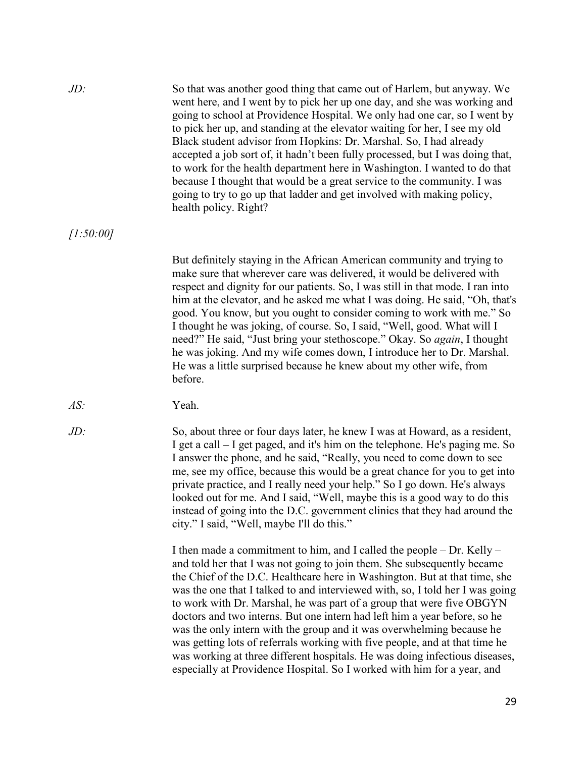| $JD$ :    | So that was another good thing that came out of Harlem, but anyway. We<br>went here, and I went by to pick her up one day, and she was working and<br>going to school at Providence Hospital. We only had one car, so I went by<br>to pick her up, and standing at the elevator waiting for her, I see my old<br>Black student advisor from Hopkins: Dr. Marshal. So, I had already<br>accepted a job sort of, it hadn't been fully processed, but I was doing that,<br>to work for the health department here in Washington. I wanted to do that<br>because I thought that would be a great service to the community. I was<br>going to try to go up that ladder and get involved with making policy,<br>health policy. Right? |
|-----------|---------------------------------------------------------------------------------------------------------------------------------------------------------------------------------------------------------------------------------------------------------------------------------------------------------------------------------------------------------------------------------------------------------------------------------------------------------------------------------------------------------------------------------------------------------------------------------------------------------------------------------------------------------------------------------------------------------------------------------|
| [1:50:00] |                                                                                                                                                                                                                                                                                                                                                                                                                                                                                                                                                                                                                                                                                                                                 |
|           | But definitely staying in the African American community and trying to<br>make sure that wherever care was delivered, it would be delivered with<br>respect and dignity for our patients. So, I was still in that mode. I ran into<br>him at the elevator, and he asked me what I was doing. He said, "Oh, that's<br>good. You know, but you ought to consider coming to work with me." So<br>I thought he was joking, of course. So, I said, "Well, good. What will I<br>need?" He said, "Just bring your stethoscope." Okay. So again, I thought<br>he was joking. And my wife comes down, I introduce her to Dr. Marshal.<br>He was a little surprised because he knew about my other wife, from<br>before.                  |
| AS:       | Yeah.                                                                                                                                                                                                                                                                                                                                                                                                                                                                                                                                                                                                                                                                                                                           |
| $JD$ :    | So, about three or four days later, he knew I was at Howard, as a resident,<br>I get a call – I get paged, and it's him on the telephone. He's paging me. So<br>I answer the phone, and he said, "Really, you need to come down to see<br>me, see my office, because this would be a great chance for you to get into<br>private practice, and I really need your help." So I go down. He's always<br>looked out for me. And I said, "Well, maybe this is a good way to do this<br>instead of going into the D.C. government clinics that they had around the<br>city." I said, "Well, maybe I'll do this."                                                                                                                     |
|           | I then made a commitment to him, and I called the people $-$ Dr. Kelly $-$<br>and told her that I was not going to join them. She subsequently became<br>the Chief of the D.C. Healthcare here in Washington. But at that time, she<br>was the one that I talked to and interviewed with, so, I told her I was going<br>to work with Dr. Marshal, he was part of a group that were five OBGYN<br>doctors and two interns. But one intern had left him a year before, so he<br>was the only intern with the group and it was overwhelming because he<br>was getting lots of referrals working with five people, and at that time he<br>was working at three different hospitals. He was doing infectious diseases,               |

especially at Providence Hospital. So I worked with him for a year, and

29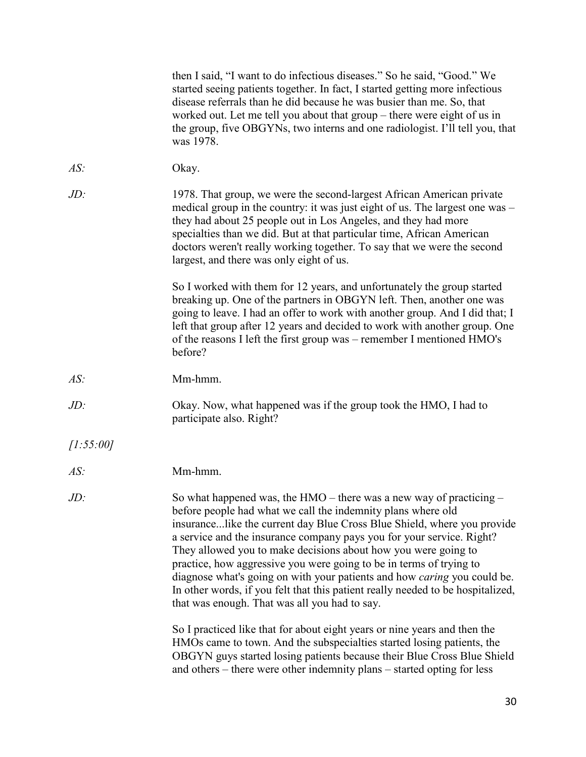|           | then I said, "I want to do infectious diseases." So he said, "Good." We<br>started seeing patients together. In fact, I started getting more infectious<br>disease referrals than he did because he was busier than me. So, that<br>worked out. Let me tell you about that group – there were eight of us in<br>the group, five OBGYNs, two interns and one radiologist. I'll tell you, that<br>was 1978.                                                                                                                                                                                                                                                 |
|-----------|-----------------------------------------------------------------------------------------------------------------------------------------------------------------------------------------------------------------------------------------------------------------------------------------------------------------------------------------------------------------------------------------------------------------------------------------------------------------------------------------------------------------------------------------------------------------------------------------------------------------------------------------------------------|
| AS:       | Okay.                                                                                                                                                                                                                                                                                                                                                                                                                                                                                                                                                                                                                                                     |
| $JD$ :    | 1978. That group, we were the second-largest African American private<br>medical group in the country: it was just eight of us. The largest one was -<br>they had about 25 people out in Los Angeles, and they had more<br>specialties than we did. But at that particular time, African American<br>doctors weren't really working together. To say that we were the second<br>largest, and there was only eight of us.                                                                                                                                                                                                                                  |
|           | So I worked with them for 12 years, and unfortunately the group started<br>breaking up. One of the partners in OBGYN left. Then, another one was<br>going to leave. I had an offer to work with another group. And I did that; I<br>left that group after 12 years and decided to work with another group. One<br>of the reasons I left the first group was – remember I mentioned HMO's<br>before?                                                                                                                                                                                                                                                       |
| AS:       | Mm-hmm.                                                                                                                                                                                                                                                                                                                                                                                                                                                                                                                                                                                                                                                   |
| $JD$ :    | Okay. Now, what happened was if the group took the HMO, I had to<br>participate also. Right?                                                                                                                                                                                                                                                                                                                                                                                                                                                                                                                                                              |
| [1:55:00] |                                                                                                                                                                                                                                                                                                                                                                                                                                                                                                                                                                                                                                                           |
| AS:       | Mm-hmm.                                                                                                                                                                                                                                                                                                                                                                                                                                                                                                                                                                                                                                                   |
| $JD$ :    | So what happened was, the $HMO$ – there was a new way of practicing –<br>before people had what we call the indemnity plans where old<br>insurancelike the current day Blue Cross Blue Shield, where you provide<br>a service and the insurance company pays you for your service. Right?<br>They allowed you to make decisions about how you were going to<br>practice, how aggressive you were going to be in terms of trying to<br>diagnose what's going on with your patients and how <i>caring</i> you could be.<br>In other words, if you felt that this patient really needed to be hospitalized,<br>that was enough. That was all you had to say. |
|           | So I practiced like that for about eight years or nine years and then the<br>HMOs came to town. And the subspecialties started losing patients, the<br>OBGYN guys started losing patients because their Blue Cross Blue Shield<br>and others – there were other indemnity plans – started opting for less                                                                                                                                                                                                                                                                                                                                                 |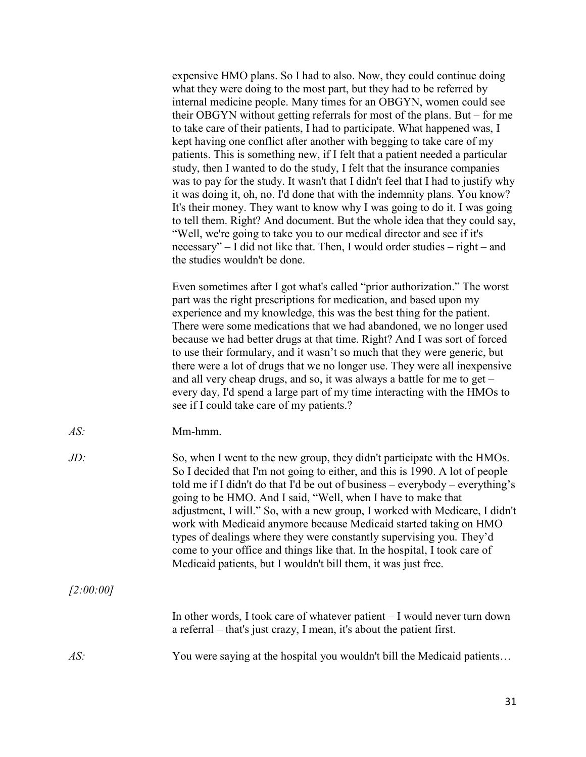Even sometimes after I got what's called "prior authorization." The worst part was the right prescriptions for medication, and based upon my experience and my knowledge, this was the best thing for the patient. There were some medications that we had abandoned, we no longer used because we had better drugs at that time. Right? And I was sort of forced to use their formulary, and it wasn't so much that they were generic, but there were a lot of drugs that we no longer use. They were all inexpensive and all very cheap drugs, and so, it was always a battle for me to get – every day, I'd spend a large part of my time interacting with the HMOs to see if I could take care of my patients.?

| AS: | Mm-hmm. |
|-----|---------|
|     |         |

| $JD$ :    | So, when I went to the new group, they didn't participate with the HMOs.<br>So I decided that I'm not going to either, and this is 1990. A lot of people |
|-----------|----------------------------------------------------------------------------------------------------------------------------------------------------------|
|           | told me if I didn't do that I'd be out of business $-$ everybody $-$ everything's<br>going to be HMO. And I said, "Well, when I have to make that        |
|           | adjustment, I will." So, with a new group, I worked with Medicare, I didn't<br>work with Medicaid anymore because Medicaid started taking on HMO         |
|           | types of dealings where they were constantly supervising you. They'd                                                                                     |
|           | come to your office and things like that. In the hospital, I took care of<br>Medicaid patients, but I wouldn't bill them, it was just free.              |
| [2:00:00] |                                                                                                                                                          |
|           | In other words, I took care of whatever patient $-I$ would never turn down                                                                               |
|           | a referral – that's just crazy, I mean, it's about the patient first.                                                                                    |

# *AS*: You were saying at the hospital you wouldn't bill the Medicaid patients...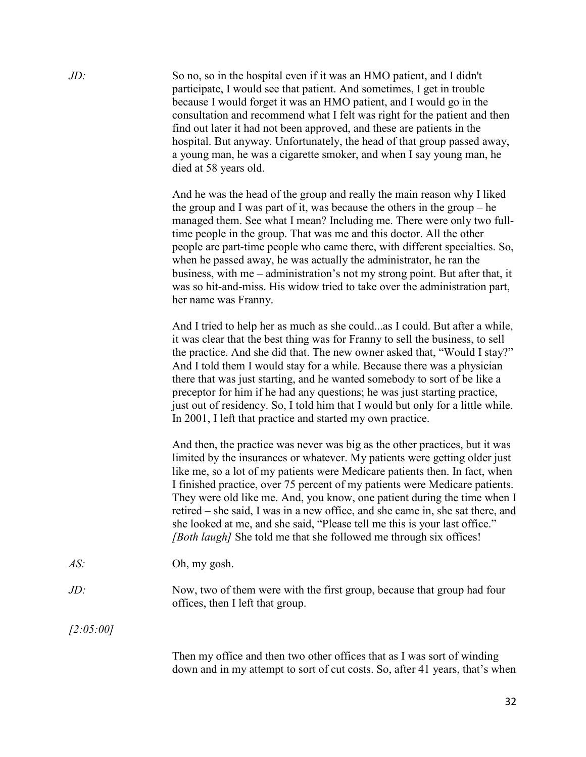*JD*: So no, so in the hospital even if it was an HMO patient, and I didn't participate, I would see that patient. And sometimes, I get in trouble because I would forget it was an HMO patient, and I would go in the consultation and recommend what I felt was right for the patient and then find out later it had not been approved, and these are patients in the hospital. But anyway. Unfortunately, the head of that group passed away, a young man, he was a cigarette smoker, and when I say young man, he died at 58 years old.

> And he was the head of the group and really the main reason why I liked the group and I was part of it, was because the others in the group – he managed them. See what I mean? Including me. There were only two fulltime people in the group. That was me and this doctor. All the other people are part-time people who came there, with different specialties. So, when he passed away, he was actually the administrator, he ran the business, with me – administration's not my strong point. But after that, it was so hit-and-miss. His widow tried to take over the administration part, her name was Franny.

> And I tried to help her as much as she could...as I could. But after a while, it was clear that the best thing was for Franny to sell the business, to sell the practice. And she did that. The new owner asked that, "Would I stay?" And I told them I would stay for a while. Because there was a physician there that was just starting, and he wanted somebody to sort of be like a preceptor for him if he had any questions; he was just starting practice, just out of residency. So, I told him that I would but only for a little while. In 2001, I left that practice and started my own practice.

> And then, the practice was never was big as the other practices, but it was limited by the insurances or whatever. My patients were getting older just like me, so a lot of my patients were Medicare patients then. In fact, when I finished practice, over 75 percent of my patients were Medicare patients. They were old like me. And, you know, one patient during the time when I retired – she said, I was in a new office, and she came in, she sat there, and she looked at me, and she said, "Please tell me this is your last office." *[Both laugh]* She told me that she followed me through six offices!

*JD*: Now, two of them were with the first group, because that group had four offices, then I left that group.

*[2:05:00]* 

Then my office and then two other offices that as I was sort of winding down and in my attempt to sort of cut costs. So, after 41 years, that's when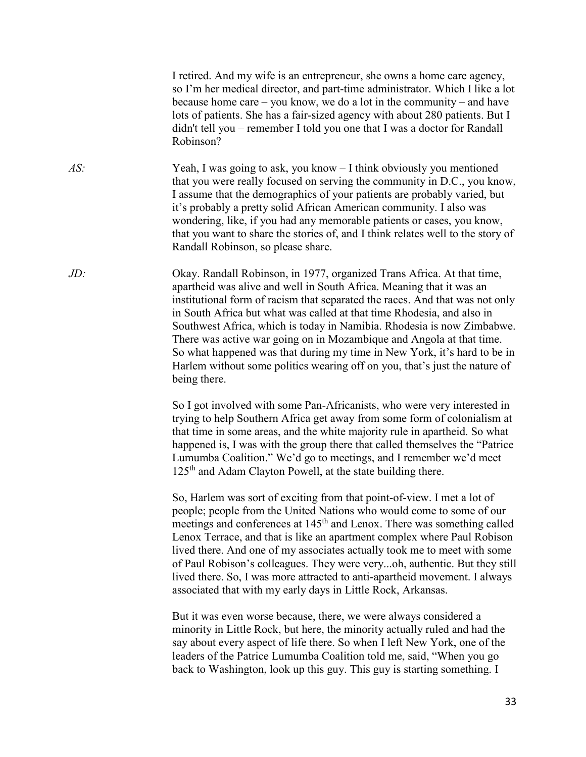I retired. And my wife is an entrepreneur, she owns a home care agency, so I'm her medical director, and part-time administrator. Which I like a lot because home care – you know, we do a lot in the community – and have lots of patients. She has a fair-sized agency with about 280 patients. But I didn't tell you – remember I told you one that I was a doctor for Randall Robinson?

*AS*: Yeah, I was going to ask, you know – I think obviously you mentioned that you were really focused on serving the community in D.C., you know, I assume that the demographics of your patients are probably varied, but it's probably a pretty solid African American community. I also was wondering, like, if you had any memorable patients or cases, you know, that you want to share the stories of, and I think relates well to the story of Randall Robinson, so please share.

*JD:* Okay. Randall Robinson, in 1977, organized Trans Africa. At that time, apartheid was alive and well in South Africa. Meaning that it was an institutional form of racism that separated the races. And that was not only in South Africa but what was called at that time Rhodesia, and also in Southwest Africa, which is today in Namibia. Rhodesia is now Zimbabwe. There was active war going on in Mozambique and Angola at that time. So what happened was that during my time in New York, it's hard to be in Harlem without some politics wearing off on you, that's just the nature of being there.

> So I got involved with some Pan-Africanists, who were very interested in trying to help Southern Africa get away from some form of colonialism at that time in some areas, and the white majority rule in apartheid. So what happened is, I was with the group there that called themselves the "Patrice Lumumba Coalition." We'd go to meetings, and I remember we'd meet 125<sup>th</sup> and Adam Clayton Powell, at the state building there.

> So, Harlem was sort of exciting from that point-of-view. I met a lot of people; people from the United Nations who would come to some of our meetings and conferences at 145<sup>th</sup> and Lenox. There was something called Lenox Terrace, and that is like an apartment complex where Paul Robison lived there. And one of my associates actually took me to meet with some of Paul Robison's colleagues. They were very...oh, authentic. But they still lived there. So, I was more attracted to anti-apartheid movement. I always associated that with my early days in Little Rock, Arkansas.

But it was even worse because, there, we were always considered a minority in Little Rock, but here, the minority actually ruled and had the say about every aspect of life there. So when I left New York, one of the leaders of the Patrice Lumumba Coalition told me, said, "When you go back to Washington, look up this guy. This guy is starting something. I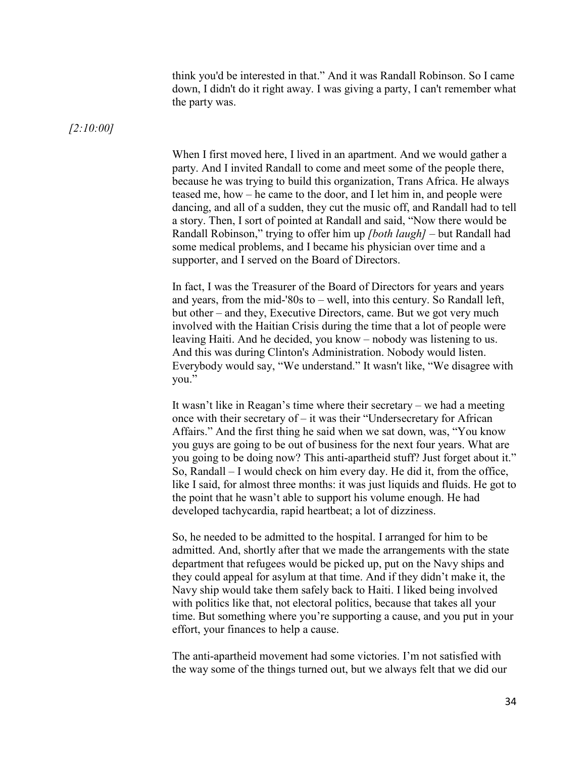think you'd be interested in that." And it was Randall Robinson. So I came down, I didn't do it right away. I was giving a party, I can't remember what the party was.

*[2:10:00]* 

When I first moved here, I lived in an apartment. And we would gather a party. And I invited Randall to come and meet some of the people there, because he was trying to build this organization, Trans Africa. He always teased me, how – he came to the door, and I let him in, and people were dancing, and all of a sudden, they cut the music off, and Randall had to tell a story. Then, I sort of pointed at Randall and said, "Now there would be Randall Robinson," trying to offer him up *[both laugh]* – but Randall had some medical problems, and I became his physician over time and a supporter, and I served on the Board of Directors.

In fact, I was the Treasurer of the Board of Directors for years and years and years, from the mid-'80s to – well, into this century. So Randall left, but other – and they, Executive Directors, came. But we got very much involved with the Haitian Crisis during the time that a lot of people were leaving Haiti. And he decided, you know – nobody was listening to us. And this was during Clinton's Administration. Nobody would listen. Everybody would say, "We understand." It wasn't like, "We disagree with you."

It wasn't like in Reagan's time where their secretary – we had a meeting once with their secretary of – it was their "Undersecretary for African Affairs." And the first thing he said when we sat down, was, "You know you guys are going to be out of business for the next four years. What are you going to be doing now? This anti-apartheid stuff? Just forget about it." So, Randall – I would check on him every day. He did it, from the office, like I said, for almost three months: it was just liquids and fluids. He got to the point that he wasn't able to support his volume enough. He had developed tachycardia, rapid heartbeat; a lot of dizziness.

So, he needed to be admitted to the hospital. I arranged for him to be admitted. And, shortly after that we made the arrangements with the state department that refugees would be picked up, put on the Navy ships and they could appeal for asylum at that time. And if they didn't make it, the Navy ship would take them safely back to Haiti. I liked being involved with politics like that, not electoral politics, because that takes all your time. But something where you're supporting a cause, and you put in your effort, your finances to help a cause.

The anti-apartheid movement had some victories. I'm not satisfied with the way some of the things turned out, but we always felt that we did our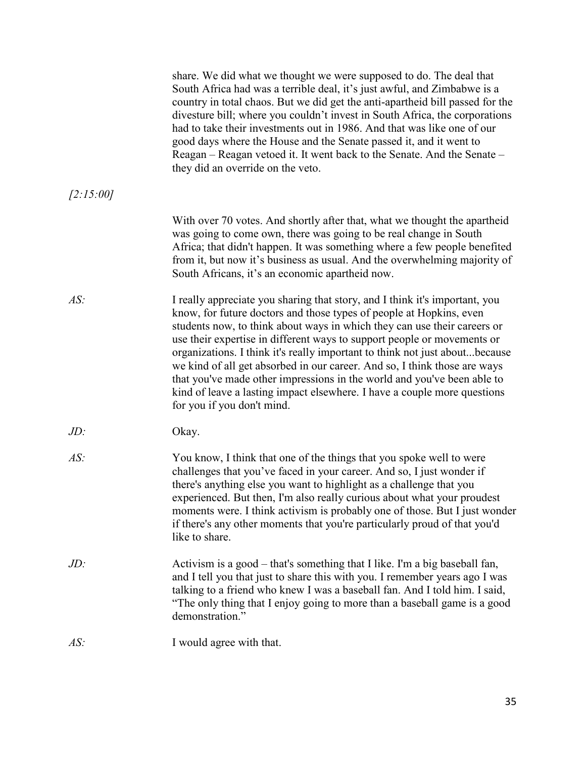|           | share. We did what we thought we were supposed to do. The deal that<br>South Africa had was a terrible deal, it's just awful, and Zimbabwe is a<br>country in total chaos. But we did get the anti-apartheid bill passed for the<br>divesture bill; where you couldn't invest in South Africa, the corporations<br>had to take their investments out in 1986. And that was like one of our<br>good days where the House and the Senate passed it, and it went to<br>Reagan – Reagan vetoed it. It went back to the Senate. And the Senate –<br>they did an override on the veto.                                                                           |
|-----------|------------------------------------------------------------------------------------------------------------------------------------------------------------------------------------------------------------------------------------------------------------------------------------------------------------------------------------------------------------------------------------------------------------------------------------------------------------------------------------------------------------------------------------------------------------------------------------------------------------------------------------------------------------|
| [2:15:00] |                                                                                                                                                                                                                                                                                                                                                                                                                                                                                                                                                                                                                                                            |
|           | With over 70 votes. And shortly after that, what we thought the apartheid<br>was going to come own, there was going to be real change in South<br>Africa; that didn't happen. It was something where a few people benefited<br>from it, but now it's business as usual. And the overwhelming majority of<br>South Africans, it's an economic apartheid now.                                                                                                                                                                                                                                                                                                |
| AS:       | I really appreciate you sharing that story, and I think it's important, you<br>know, for future doctors and those types of people at Hopkins, even<br>students now, to think about ways in which they can use their careers or<br>use their expertise in different ways to support people or movements or<br>organizations. I think it's really important to think not just aboutbecause<br>we kind of all get absorbed in our career. And so, I think those are ways<br>that you've made other impressions in the world and you've been able to<br>kind of leave a lasting impact elsewhere. I have a couple more questions<br>for you if you don't mind. |
| $JD$ :    | Okay.                                                                                                                                                                                                                                                                                                                                                                                                                                                                                                                                                                                                                                                      |
| AS:       | You know, I think that one of the things that you spoke well to were<br>challenges that you've faced in your career. And so, I just wonder if<br>there's anything else you want to highlight as a challenge that you<br>experienced. But then, I'm also really curious about what your proudest<br>moments were. I think activism is probably one of those. But I just wonder<br>if there's any other moments that you're particularly proud of that you'd<br>like to share.                                                                                                                                                                               |
| $JD$ :    | Activism is a good – that's something that I like. I'm a big baseball fan,<br>and I tell you that just to share this with you. I remember years ago I was<br>talking to a friend who knew I was a baseball fan. And I told him. I said,<br>"The only thing that I enjoy going to more than a baseball game is a good<br>demonstration."                                                                                                                                                                                                                                                                                                                    |
| AS:       | I would agree with that.                                                                                                                                                                                                                                                                                                                                                                                                                                                                                                                                                                                                                                   |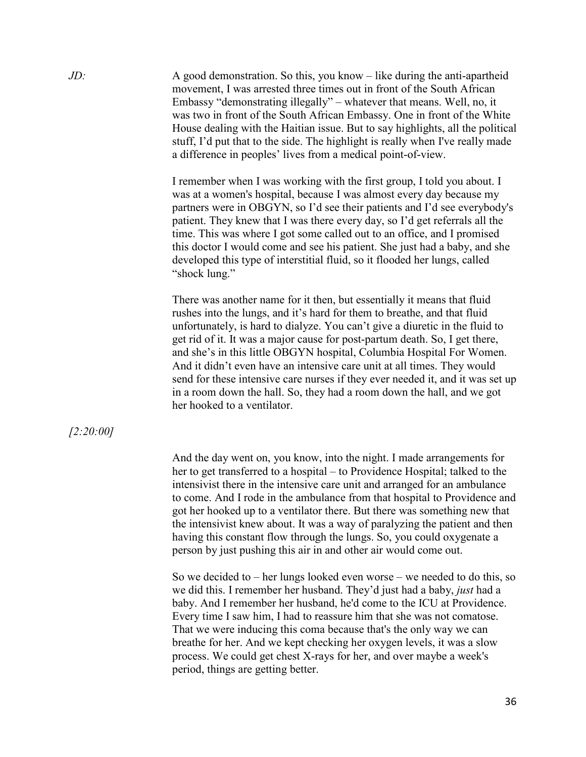*JD*: A good demonstration. So this, you know – like during the anti-apartheid movement, I was arrested three times out in front of the South African Embassy "demonstrating illegally" – whatever that means. Well, no, it was two in front of the South African Embassy. One in front of the White House dealing with the Haitian issue. But to say highlights, all the political stuff, I'd put that to the side. The highlight is really when I've really made a difference in peoples' lives from a medical point-of-view.

> I remember when I was working with the first group, I told you about. I was at a women's hospital, because I was almost every day because my partners were in OBGYN, so I'd see their patients and I'd see everybody's patient. They knew that I was there every day, so I'd get referrals all the time. This was where I got some called out to an office, and I promised this doctor I would come and see his patient. She just had a baby, and she developed this type of interstitial fluid, so it flooded her lungs, called "shock lung."

There was another name for it then, but essentially it means that fluid rushes into the lungs, and it's hard for them to breathe, and that fluid unfortunately, is hard to dialyze. You can't give a diuretic in the fluid to get rid of it. It was a major cause for post-partum death. So, I get there, and she's in this little OBGYN hospital, Columbia Hospital For Women. And it didn't even have an intensive care unit at all times. They would send for these intensive care nurses if they ever needed it, and it was set up in a room down the hall. So, they had a room down the hall, and we got her hooked to a ventilator.

*[2:20:00]* 

And the day went on, you know, into the night. I made arrangements for her to get transferred to a hospital – to Providence Hospital; talked to the intensivist there in the intensive care unit and arranged for an ambulance to come. And I rode in the ambulance from that hospital to Providence and got her hooked up to a ventilator there. But there was something new that the intensivist knew about. It was a way of paralyzing the patient and then having this constant flow through the lungs. So, you could oxygenate a person by just pushing this air in and other air would come out.

So we decided to – her lungs looked even worse – we needed to do this, so we did this. I remember her husband. They'd just had a baby, *just* had a baby. And I remember her husband, he'd come to the ICU at Providence. Every time I saw him, I had to reassure him that she was not comatose. That we were inducing this coma because that's the only way we can breathe for her. And we kept checking her oxygen levels, it was a slow process. We could get chest X-rays for her, and over maybe a week's period, things are getting better.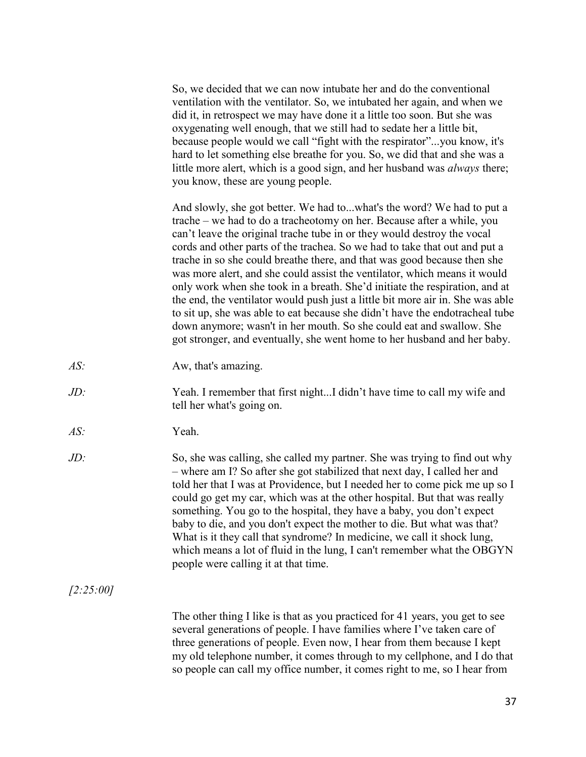So, we decided that we can now intubate her and do the conventional ventilation with the ventilator. So, we intubated her again, and when we did it, in retrospect we may have done it a little too soon. But she was oxygenating well enough, that we still had to sedate her a little bit, because people would we call "fight with the respirator"...you know, it's hard to let something else breathe for you. So, we did that and she was a little more alert, which is a good sign, and her husband was *always* there; you know, these are young people.

And slowly, she got better. We had to...what's the word? We had to put a trache – we had to do a tracheotomy on her. Because after a while, you can't leave the original trache tube in or they would destroy the vocal cords and other parts of the trachea. So we had to take that out and put a trache in so she could breathe there, and that was good because then she was more alert, and she could assist the ventilator, which means it would only work when she took in a breath. She'd initiate the respiration, and at the end, the ventilator would push just a little bit more air in. She was able to sit up, she was able to eat because she didn't have the endotracheal tube down anymore; wasn't in her mouth. So she could eat and swallow. She got stronger, and eventually, she went home to her husband and her baby.

- *AS:* Aw, that's amazing.
- *JD*: Yeah. I remember that first night...I didn't have time to call my wife and tell her what's going on.
- *AS:* Yeah.
- *JD*: So, she was calling, she called my partner. She was trying to find out why – where am I? So after she got stabilized that next day, I called her and told her that I was at Providence, but I needed her to come pick me up so I could go get my car, which was at the other hospital. But that was really something. You go to the hospital, they have a baby, you don't expect baby to die, and you don't expect the mother to die. But what was that? What is it they call that syndrome? In medicine, we call it shock lung, which means a lot of fluid in the lung, I can't remember what the OBGYN people were calling it at that time.

*[2:25:00]* 

The other thing I like is that as you practiced for 41 years, you get to see several generations of people. I have families where I've taken care of three generations of people. Even now, I hear from them because I kept my old telephone number, it comes through to my cellphone, and I do that so people can call my office number, it comes right to me, so I hear from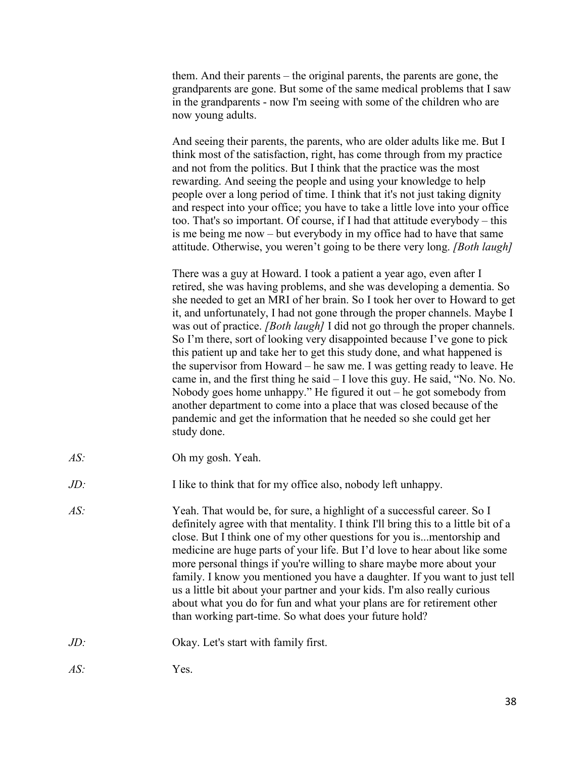them. And their parents – the original parents, the parents are gone, the grandparents are gone. But some of the same medical problems that I saw in the grandparents - now I'm seeing with some of the children who are now young adults.

And seeing their parents, the parents, who are older adults like me. But I think most of the satisfaction, right, has come through from my practice and not from the politics. But I think that the practice was the most rewarding. And seeing the people and using your knowledge to help people over a long period of time. I think that it's not just taking dignity and respect into your office; you have to take a little love into your office too. That's so important. Of course, if I had that attitude everybody – this is me being me now – but everybody in my office had to have that same attitude. Otherwise, you weren't going to be there very long. *[Both laugh]*

There was a guy at Howard. I took a patient a year ago, even after I retired, she was having problems, and she was developing a dementia. So she needed to get an MRI of her brain. So I took her over to Howard to get it, and unfortunately, I had not gone through the proper channels. Maybe I was out of practice. *[Both laugh]* I did not go through the proper channels. So I'm there, sort of looking very disappointed because I've gone to pick this patient up and take her to get this study done, and what happened is the supervisor from Howard – he saw me. I was getting ready to leave. He came in, and the first thing he said – I love this guy. He said, "No. No. No. Nobody goes home unhappy." He figured it out – he got somebody from another department to come into a place that was closed because of the pandemic and get the information that he needed so she could get her study done.

| Oh my gosh. Yeah. |
|-------------------|

*JD*: I like to think that for my office also, nobody left unhappy.

- *AS*: Yeah. That would be, for sure, a highlight of a successful career. So I definitely agree with that mentality. I think I'll bring this to a little bit of a close. But I think one of my other questions for you is...mentorship and medicine are huge parts of your life. But I'd love to hear about like some more personal things if you're willing to share maybe more about your family. I know you mentioned you have a daughter. If you want to just tell us a little bit about your partner and your kids. I'm also really curious about what you do for fun and what your plans are for retirement other than working part-time. So what does your future hold?
- *JD*: Okay. Let's start with family first.
- *AS:* Yes.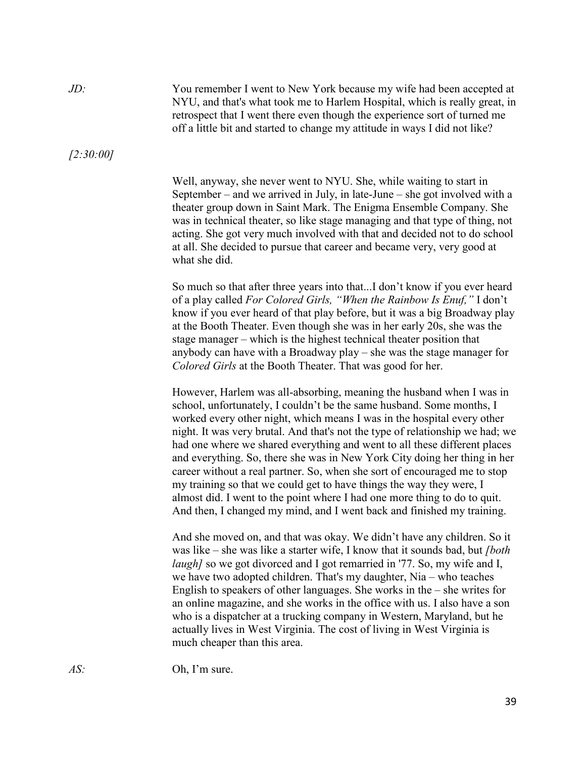*JD*: You remember I went to New York because my wife had been accepted at NYU, and that's what took me to Harlem Hospital, which is really great, in retrospect that I went there even though the experience sort of turned me off a little bit and started to change my attitude in ways I did not like?

*[2:30:00]* 

Well, anyway, she never went to NYU. She, while waiting to start in September – and we arrived in July, in late-June – she got involved with a theater group down in Saint Mark. The Enigma Ensemble Company. She was in technical theater, so like stage managing and that type of thing, not acting. She got very much involved with that and decided not to do school at all. She decided to pursue that career and became very, very good at what she did.

So much so that after three years into that...I don't know if you ever heard of a play called *For Colored Girls, "When the Rainbow Is Enuf,"* I don't know if you ever heard of that play before, but it was a big Broadway play at the Booth Theater. Even though she was in her early 20s, she was the stage manager – which is the highest technical theater position that anybody can have with a Broadway play – she was the stage manager for *Colored Girls* at the Booth Theater. That was good for her.

However, Harlem was all-absorbing, meaning the husband when I was in school, unfortunately, I couldn't be the same husband. Some months, I worked every other night, which means I was in the hospital every other night. It was very brutal. And that's not the type of relationship we had; we had one where we shared everything and went to all these different places and everything. So, there she was in New York City doing her thing in her career without a real partner. So, when she sort of encouraged me to stop my training so that we could get to have things the way they were, I almost did. I went to the point where I had one more thing to do to quit. And then, I changed my mind, and I went back and finished my training.

And she moved on, and that was okay. We didn't have any children. So it was like – she was like a starter wife, I know that it sounds bad, but *[both laugh]* so we got divorced and I got remarried in '77. So, my wife and I, we have two adopted children. That's my daughter, Nia – who teaches English to speakers of other languages. She works in the – she writes for an online magazine, and she works in the office with us. I also have a son who is a dispatcher at a trucking company in Western, Maryland, but he actually lives in West Virginia. The cost of living in West Virginia is much cheaper than this area.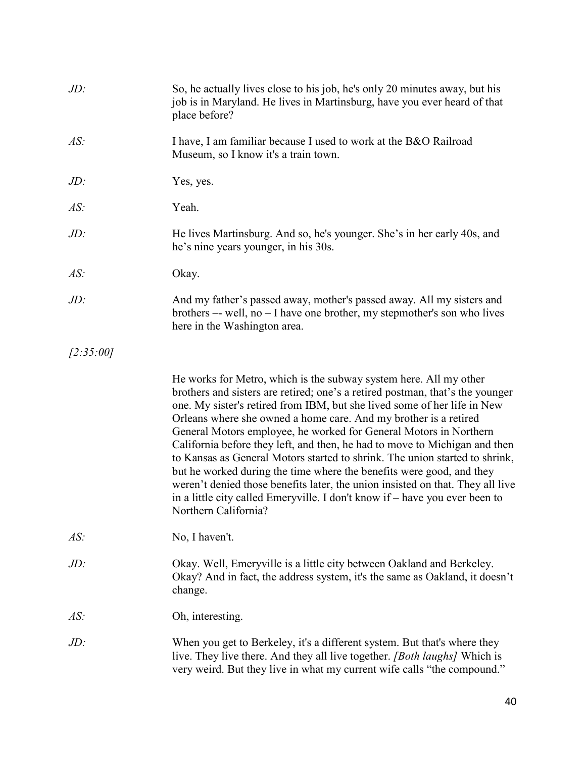| $JD$ :    | So, he actually lives close to his job, he's only 20 minutes away, but his<br>job is in Maryland. He lives in Martinsburg, have you ever heard of that<br>place before?                                                                                                                                                                                                                                                                                                                                                                                                                                                                                                                                                                                                                               |
|-----------|-------------------------------------------------------------------------------------------------------------------------------------------------------------------------------------------------------------------------------------------------------------------------------------------------------------------------------------------------------------------------------------------------------------------------------------------------------------------------------------------------------------------------------------------------------------------------------------------------------------------------------------------------------------------------------------------------------------------------------------------------------------------------------------------------------|
| AS:       | I have, I am familiar because I used to work at the B&O Railroad<br>Museum, so I know it's a train town.                                                                                                                                                                                                                                                                                                                                                                                                                                                                                                                                                                                                                                                                                              |
| $JD$ :    | Yes, yes.                                                                                                                                                                                                                                                                                                                                                                                                                                                                                                                                                                                                                                                                                                                                                                                             |
| AS:       | Yeah.                                                                                                                                                                                                                                                                                                                                                                                                                                                                                                                                                                                                                                                                                                                                                                                                 |
| $JD$ :    | He lives Martinsburg. And so, he's younger. She's in her early 40s, and<br>he's nine years younger, in his 30s.                                                                                                                                                                                                                                                                                                                                                                                                                                                                                                                                                                                                                                                                                       |
| AS:       | Okay.                                                                                                                                                                                                                                                                                                                                                                                                                                                                                                                                                                                                                                                                                                                                                                                                 |
| $JD$ :    | And my father's passed away, mother's passed away. All my sisters and<br>brothers $-$ well, no $-$ I have one brother, my stepmother's son who lives<br>here in the Washington area.                                                                                                                                                                                                                                                                                                                                                                                                                                                                                                                                                                                                                  |
| [2:35:00] |                                                                                                                                                                                                                                                                                                                                                                                                                                                                                                                                                                                                                                                                                                                                                                                                       |
|           | He works for Metro, which is the subway system here. All my other<br>brothers and sisters are retired; one's a retired postman, that's the younger<br>one. My sister's retired from IBM, but she lived some of her life in New<br>Orleans where she owned a home care. And my brother is a retired<br>General Motors employee, he worked for General Motors in Northern<br>California before they left, and then, he had to move to Michigan and then<br>to Kansas as General Motors started to shrink. The union started to shrink,<br>but he worked during the time where the benefits were good, and they<br>weren't denied those benefits later, the union insisted on that. They all live<br>in a little city called Emeryville. I don't know if – have you ever been to<br>Northern California? |
| AS:       | No, I haven't.                                                                                                                                                                                                                                                                                                                                                                                                                                                                                                                                                                                                                                                                                                                                                                                        |
| $JD$ :    | Okay. Well, Emeryville is a little city between Oakland and Berkeley.<br>Okay? And in fact, the address system, it's the same as Oakland, it doesn't<br>change.                                                                                                                                                                                                                                                                                                                                                                                                                                                                                                                                                                                                                                       |
| AS:       | Oh, interesting.                                                                                                                                                                                                                                                                                                                                                                                                                                                                                                                                                                                                                                                                                                                                                                                      |
| $JD$ :    | When you get to Berkeley, it's a different system. But that's where they<br>live. They live there. And they all live together. [Both laughs] Which is<br>very weird. But they live in what my current wife calls "the compound."                                                                                                                                                                                                                                                                                                                                                                                                                                                                                                                                                                      |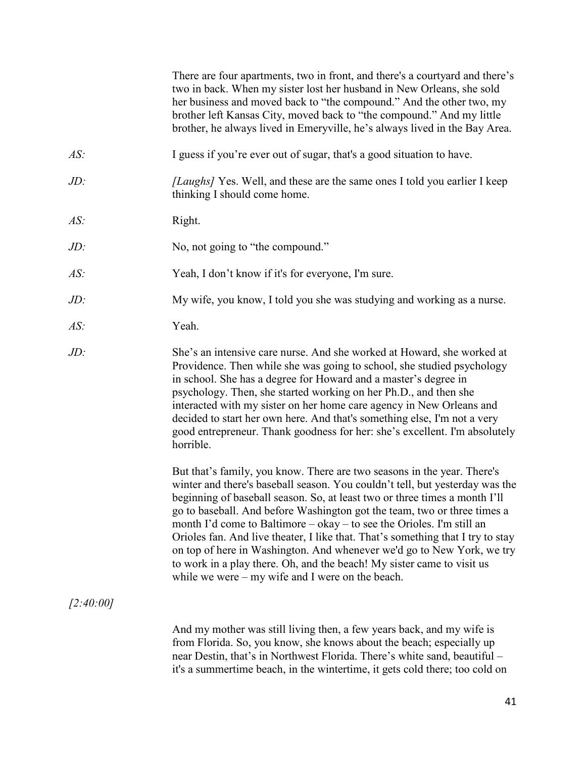There are four apartments, two in front, and there's a courtyard and there's two in back. When my sister lost her husband in New Orleans, she sold her business and moved back to "the compound." And the other two, my brother left Kansas City, moved back to "the compound." And my little brother, he always lived in Emeryville, he's always lived in the Bay Area.

- *AS*: I guess if you're ever out of sugar, that's a good situation to have.
- *JD: [Laughs]* Yes. Well, and these are the same ones I told you earlier I keep thinking I should come home.
- *AS:* Right.
- *JD:* No, not going to "the compound."
- *AS*: Yeah, I don't know if it's for everyone, I'm sure.
- *JD*: My wife, you know, I told you she was studying and working as a nurse.
- *AS:* Yeah.
- *JD*: She's an intensive care nurse. And she worked at Howard, she worked at Providence. Then while she was going to school, she studied psychology in school. She has a degree for Howard and a master's degree in psychology. Then, she started working on her Ph.D., and then she interacted with my sister on her home care agency in New Orleans and decided to start her own here. And that's something else, I'm not a very good entrepreneur. Thank goodness for her: she's excellent. I'm absolutely horrible.

But that's family, you know. There are two seasons in the year. There's winter and there's baseball season. You couldn't tell, but yesterday was the beginning of baseball season. So, at least two or three times a month I'll go to baseball. And before Washington got the team, two or three times a month I'd come to Baltimore – okay – to see the Orioles. I'm still an Orioles fan. And live theater, I like that. That's something that I try to stay on top of here in Washington. And whenever we'd go to New York, we try to work in a play there. Oh, and the beach! My sister came to visit us while we were – my wife and I were on the beach.

*[2:40:00]* 

And my mother was still living then, a few years back, and my wife is from Florida. So, you know, she knows about the beach; especially up near Destin, that's in Northwest Florida. There's white sand, beautiful – it's a summertime beach, in the wintertime, it gets cold there; too cold on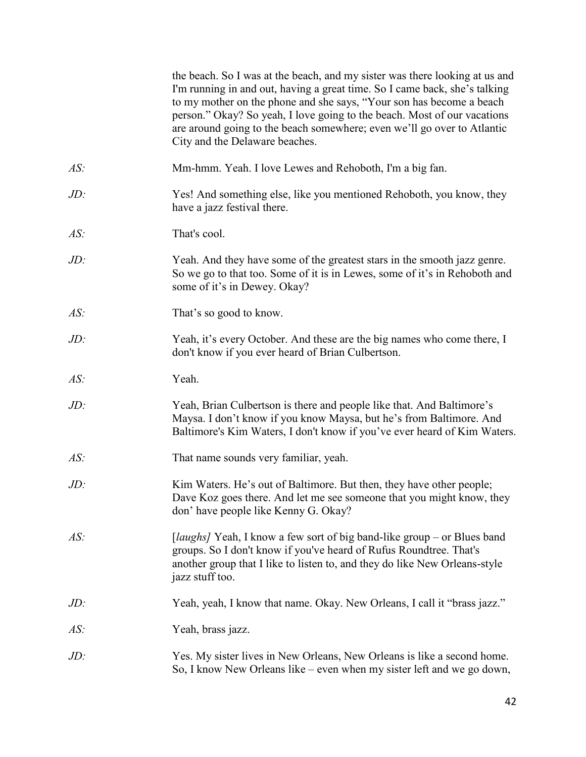the beach. So I was at the beach, and my sister was there looking at us and I'm running in and out, having a great time. So I came back, she's talking to my mother on the phone and she says, "Your son has become a beach person." Okay? So yeah, I love going to the beach. Most of our vacations are around going to the beach somewhere; even we'll go over to Atlantic City and the Delaware beaches.

- *AS:* Mm-hmm. Yeah. I love Lewes and Rehoboth, I'm a big fan. *JD*: Yes! And something else, like you mentioned Rehoboth, you know, they have a jazz festival there.
- *AS:* That's cool.
- *JD*: Yeah. And they have some of the greatest stars in the smooth jazz genre. So we go to that too. Some of it is in Lewes, some of it's in Rehoboth and some of it's in Dewey. Okay?
- *AS:* That's so good to know.
- *JD*: Yeah, it's every October. And these are the big names who come there, I don't know if you ever heard of Brian Culbertson.
- *AS:* Yeah.
- *JD*: Yeah, Brian Culbertson is there and people like that. And Baltimore's Maysa. I don't know if you know Maysa, but he's from Baltimore. And Baltimore's Kim Waters, I don't know if you've ever heard of Kim Waters.
- *AS*: That name sounds very familiar, yeah.
- *JD*: Kim Waters. He's out of Baltimore. But then, they have other people; Dave Koz goes there. And let me see someone that you might know, they don' have people like Kenny G. Okay?
- *AS:* [*laughs]* Yeah, I know a few sort of big band-like group or Blues band groups. So I don't know if you've heard of Rufus Roundtree. That's another group that I like to listen to, and they do like New Orleans-style jazz stuff too.
- *JD*: Yeah, yeah, I know that name. Okay. New Orleans, I call it "brass jazz."
- *AS:* Yeah, brass jazz.
- *JD*: Yes. My sister lives in New Orleans, New Orleans is like a second home. So, I know New Orleans like – even when my sister left and we go down,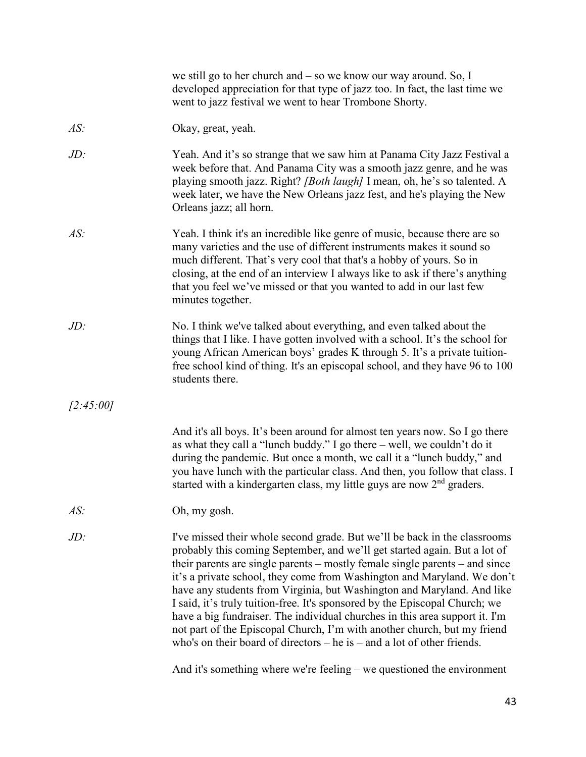|           | we still go to her church and $-$ so we know our way around. So, I<br>developed appreciation for that type of jazz too. In fact, the last time we<br>went to jazz festival we went to hear Trombone Shorty.                                                                                                                                                                                                                                                                                                                                                                                                                                                                                                         |
|-----------|---------------------------------------------------------------------------------------------------------------------------------------------------------------------------------------------------------------------------------------------------------------------------------------------------------------------------------------------------------------------------------------------------------------------------------------------------------------------------------------------------------------------------------------------------------------------------------------------------------------------------------------------------------------------------------------------------------------------|
| AS:       | Okay, great, yeah.                                                                                                                                                                                                                                                                                                                                                                                                                                                                                                                                                                                                                                                                                                  |
| $JD$ :    | Yeah. And it's so strange that we saw him at Panama City Jazz Festival a<br>week before that. And Panama City was a smooth jazz genre, and he was<br>playing smooth jazz. Right? [Both laugh] I mean, oh, he's so talented. A<br>week later, we have the New Orleans jazz fest, and he's playing the New<br>Orleans jazz; all horn.                                                                                                                                                                                                                                                                                                                                                                                 |
| AS:       | Yeah. I think it's an incredible like genre of music, because there are so<br>many varieties and the use of different instruments makes it sound so<br>much different. That's very cool that that's a hobby of yours. So in<br>closing, at the end of an interview I always like to ask if there's anything<br>that you feel we've missed or that you wanted to add in our last few<br>minutes together.                                                                                                                                                                                                                                                                                                            |
| $JD$ :    | No. I think we've talked about everything, and even talked about the<br>things that I like. I have gotten involved with a school. It's the school for<br>young African American boys' grades K through 5. It's a private tuition-<br>free school kind of thing. It's an episcopal school, and they have 96 to 100<br>students there.                                                                                                                                                                                                                                                                                                                                                                                |
| [2:45:00] |                                                                                                                                                                                                                                                                                                                                                                                                                                                                                                                                                                                                                                                                                                                     |
|           | And it's all boys. It's been around for almost ten years now. So I go there<br>as what they call a "lunch buddy." I go there – well, we couldn't do it<br>during the pandemic. But once a month, we call it a "lunch buddy," and<br>you have lunch with the particular class. And then, you follow that class. I<br>started with a kindergarten class, my little guys are now 2 <sup>nd</sup> graders.                                                                                                                                                                                                                                                                                                              |
| AS:       | Oh, my gosh.                                                                                                                                                                                                                                                                                                                                                                                                                                                                                                                                                                                                                                                                                                        |
| $JD$ :    | I've missed their whole second grade. But we'll be back in the classrooms<br>probably this coming September, and we'll get started again. But a lot of<br>their parents are single parents – mostly female single parents – and since<br>it's a private school, they come from Washington and Maryland. We don't<br>have any students from Virginia, but Washington and Maryland. And like<br>I said, it's truly tuition-free. It's sponsored by the Episcopal Church; we<br>have a big fundraiser. The individual churches in this area support it. I'm<br>not part of the Episcopal Church, I'm with another church, but my friend<br>who's on their board of directors $-$ he is $-$ and a lot of other friends. |
|           | And it's something where we're feeling – we questioned the environment                                                                                                                                                                                                                                                                                                                                                                                                                                                                                                                                                                                                                                              |